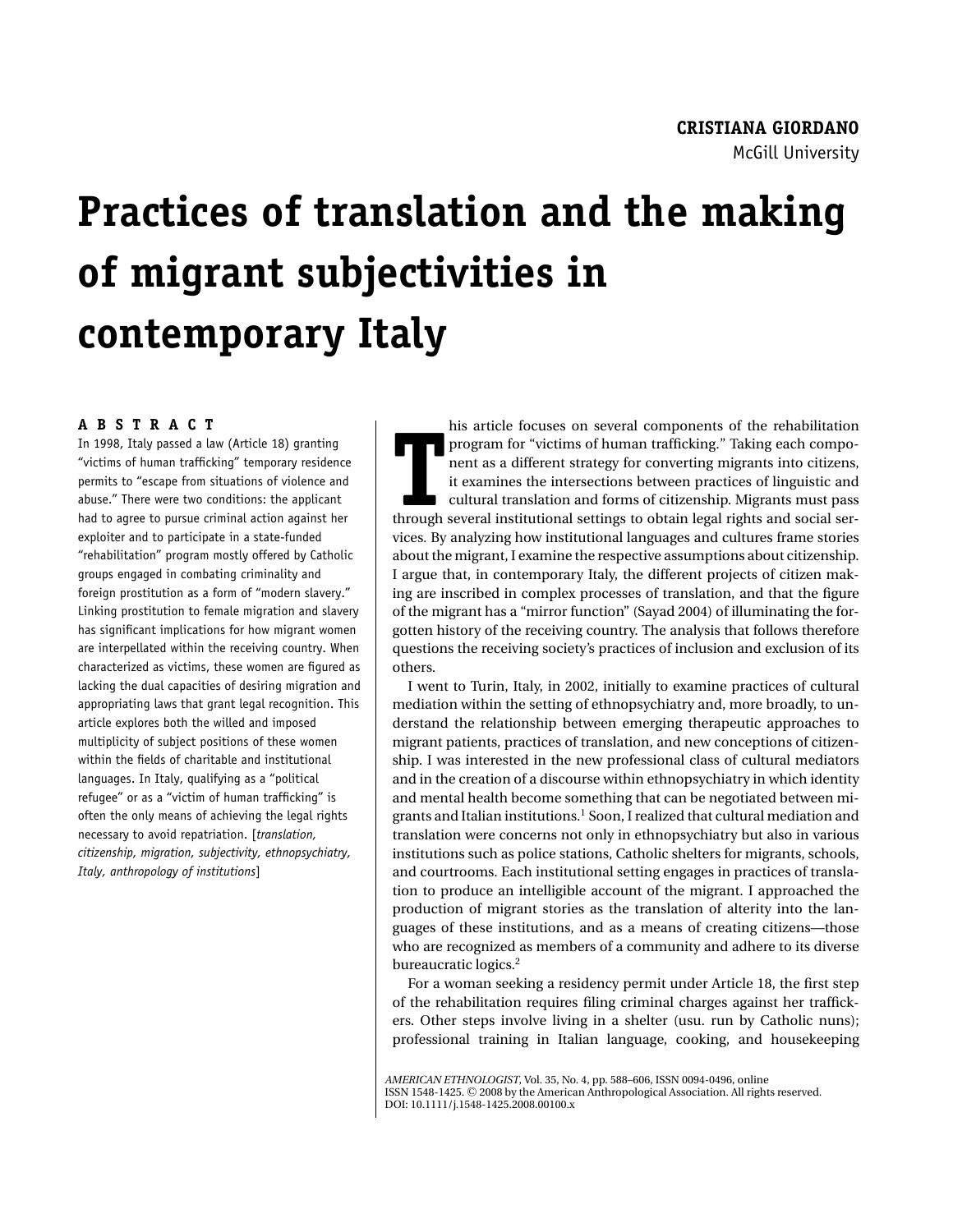# **Practices of translation and the making of migrant subjectivities in contemporary Italy**

#### **ABSTRACT**

In 1998, Italy passed a law (Article 18) granting "victims of human trafficking" temporary residence permits to "escape from situations of violence and abuse." There were two conditions: the applicant had to agree to pursue criminal action against her exploiter and to participate in a state-funded "rehabilitation" program mostly offered by Catholic groups engaged in combating criminality and foreign prostitution as a form of "modern slavery." Linking prostitution to female migration and slavery has significant implications for how migrant women are interpellated within the receiving country. When characterized as victims, these women are figured as lacking the dual capacities of desiring migration and appropriating laws that grant legal recognition. This article explores both the willed and imposed multiplicity of subject positions of these women within the fields of charitable and institutional languages. In Italy, qualifying as a "political refugee" or as a "victim of human trafficking" is often the only means of achieving the legal rights necessary to avoid repatriation. [*translation, citizenship, migration, subjectivity, ethnopsychiatry, Italy, anthropology of institutions*]

THROUGES IN SERVICE THE PROPRIATION PROGRAM SERVICE THE PROPRIATION PROGRAM SERVICE THE SERVICE THE SERVICE SERVICE SERVICE SERVICE SERVICE SERVICE SERVICE SERVICE SERVICE SERVICE SERVICE SERVICE SERVICE SERVICE SERVICE SE his article focuses on several components of the rehabilitation program for "victims of human trafficking." Taking each component as a different strategy for converting migrants into citizens, it examines the intersections between practices of linguistic and cultural translation and forms of citizenship. Migrants must pass vices. By analyzing how institutional languages and cultures frame stories about the migrant, I examine the respective assumptions about citizenship. I argue that, in contemporary Italy, the different projects of citizen making are inscribed in complex processes of translation, and that the figure of the migrant has a "mirror function" (Sayad 2004) of illuminating the forgotten history of the receiving country. The analysis that follows therefore questions the receiving society's practices of inclusion and exclusion of its others.

I went to Turin, Italy, in 2002, initially to examine practices of cultural mediation within the setting of ethnopsychiatry and, more broadly, to understand the relationship between emerging therapeutic approaches to migrant patients, practices of translation, and new conceptions of citizenship. I was interested in the new professional class of cultural mediators and in the creation of a discourse within ethnopsychiatry in which identity and mental health become something that can be negotiated between migrants and Italian institutions.<sup>1</sup> Soon, I realized that cultural mediation and translation were concerns not only in ethnopsychiatry but also in various institutions such as police stations, Catholic shelters for migrants, schools, and courtrooms. Each institutional setting engages in practices of translation to produce an intelligible account of the migrant. I approached the production of migrant stories as the translation of alterity into the languages of these institutions, and as a means of creating citizens—those who are recognized as members of a community and adhere to its diverse bureaucratic logics.<sup>2</sup>

For a woman seeking a residency permit under Article 18, the first step of the rehabilitation requires filing criminal charges against her traffickers. Other steps involve living in a shelter (usu. run by Catholic nuns); professional training in Italian language, cooking, and housekeeping

*AMERICAN ETHNOLOGIST*, Vol. 35, No. 4, pp. 588–606, ISSN 0094-0496, online

ISSN 1548-1425. © 2008 by the American Anthropological Association. All rights reserved. DOI: 10.1111/j.1548-1425.2008.00100.x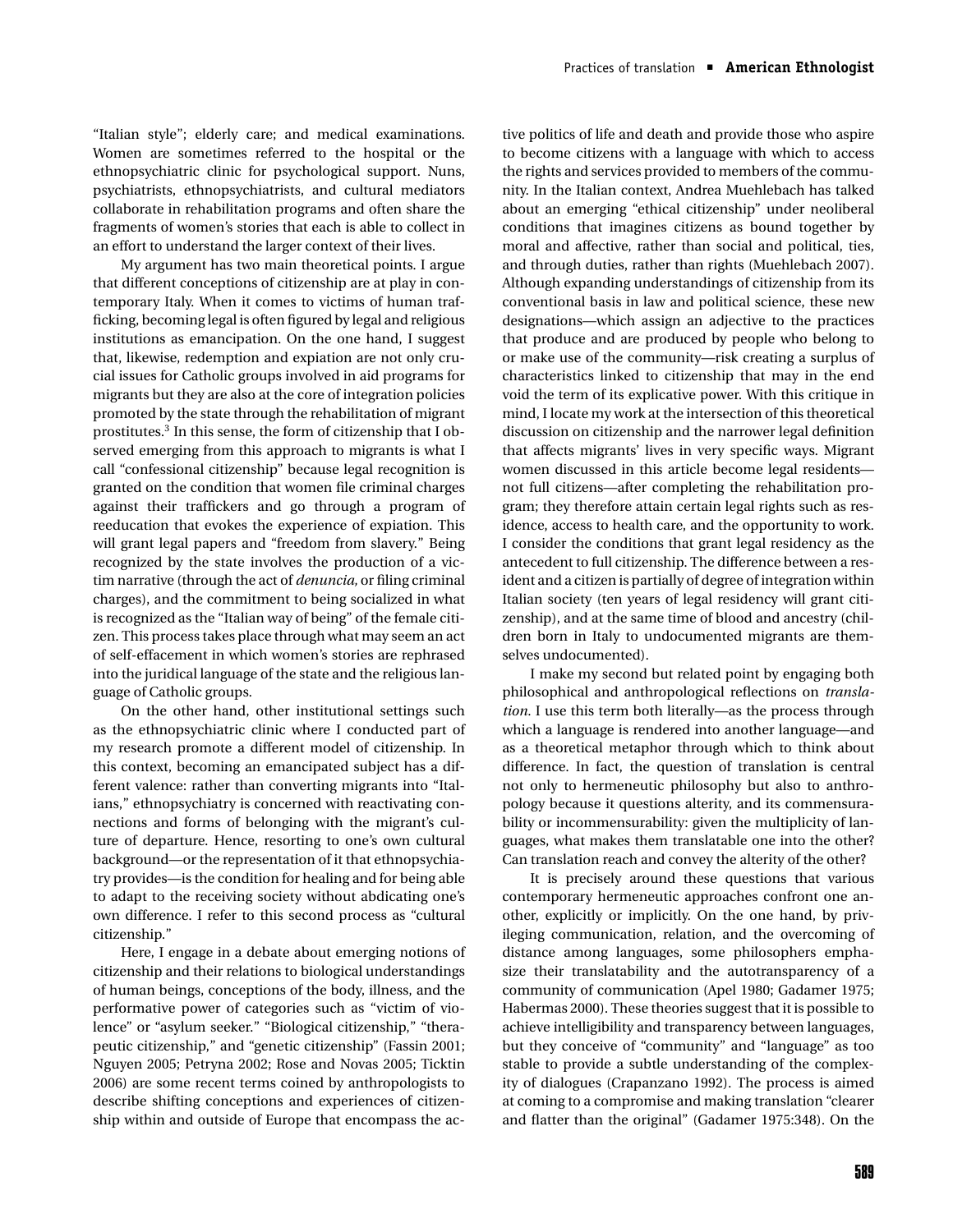"Italian style"; elderly care; and medical examinations. Women are sometimes referred to the hospital or the ethnopsychiatric clinic for psychological support. Nuns, psychiatrists, ethnopsychiatrists, and cultural mediators collaborate in rehabilitation programs and often share the fragments of women's stories that each is able to collect in an effort to understand the larger context of their lives.

My argument has two main theoretical points. I argue that different conceptions of citizenship are at play in contemporary Italy. When it comes to victims of human trafficking, becoming legal is often figured by legal and religious institutions as emancipation. On the one hand, I suggest that, likewise, redemption and expiation are not only crucial issues for Catholic groups involved in aid programs for migrants but they are also at the core of integration policies promoted by the state through the rehabilitation of migrant prostitutes.3 In this sense, the form of citizenship that I observed emerging from this approach to migrants is what I call "confessional citizenship" because legal recognition is granted on the condition that women file criminal charges against their traffickers and go through a program of reeducation that evokes the experience of expiation. This will grant legal papers and "freedom from slavery." Being recognized by the state involves the production of a victim narrative (through the act of *denuncia,* or filing criminal charges), and the commitment to being socialized in what is recognized as the "Italian way of being" of the female citizen. This process takes place through what may seem an act of self-effacement in which women's stories are rephrased into the juridical language of the state and the religious language of Catholic groups.

On the other hand, other institutional settings such as the ethnopsychiatric clinic where I conducted part of my research promote a different model of citizenship. In this context, becoming an emancipated subject has a different valence: rather than converting migrants into "Italians," ethnopsychiatry is concerned with reactivating connections and forms of belonging with the migrant's culture of departure. Hence, resorting to one's own cultural background—or the representation of it that ethnopsychiatry provides—is the condition for healing and for being able to adapt to the receiving society without abdicating one's own difference. I refer to this second process as "cultural citizenship."

Here, I engage in a debate about emerging notions of citizenship and their relations to biological understandings of human beings, conceptions of the body, illness, and the performative power of categories such as "victim of violence" or "asylum seeker." "Biological citizenship," "therapeutic citizenship," and "genetic citizenship" (Fassin 2001; Nguyen 2005; Petryna 2002; Rose and Novas 2005; Ticktin 2006) are some recent terms coined by anthropologists to describe shifting conceptions and experiences of citizenship within and outside of Europe that encompass the active politics of life and death and provide those who aspire to become citizens with a language with which to access the rights and services provided to members of the community. In the Italian context, Andrea Muehlebach has talked about an emerging "ethical citizenship" under neoliberal conditions that imagines citizens as bound together by moral and affective, rather than social and political, ties, and through duties, rather than rights (Muehlebach 2007). Although expanding understandings of citizenship from its conventional basis in law and political science, these new designations—which assign an adjective to the practices that produce and are produced by people who belong to or make use of the community—risk creating a surplus of characteristics linked to citizenship that may in the end void the term of its explicative power. With this critique in mind, I locate my work at the intersection of this theoretical discussion on citizenship and the narrower legal definition that affects migrants' lives in very specific ways. Migrant women discussed in this article become legal residents not full citizens—after completing the rehabilitation program; they therefore attain certain legal rights such as residence, access to health care, and the opportunity to work. I consider the conditions that grant legal residency as the antecedent to full citizenship. The difference between a resident and a citizen is partially of degree of integration within Italian society (ten years of legal residency will grant citizenship), and at the same time of blood and ancestry (children born in Italy to undocumented migrants are themselves undocumented).

I make my second but related point by engaging both philosophical and anthropological reflections on *translation.* I use this term both literally—as the process through which a language is rendered into another language—and as a theoretical metaphor through which to think about difference. In fact, the question of translation is central not only to hermeneutic philosophy but also to anthropology because it questions alterity, and its commensurability or incommensurability: given the multiplicity of languages, what makes them translatable one into the other? Can translation reach and convey the alterity of the other?

It is precisely around these questions that various contemporary hermeneutic approaches confront one another, explicitly or implicitly. On the one hand, by privileging communication, relation, and the overcoming of distance among languages, some philosophers emphasize their translatability and the autotransparency of a community of communication (Apel 1980; Gadamer 1975; Habermas 2000). These theories suggest that it is possible to achieve intelligibility and transparency between languages, but they conceive of "community" and "language" as too stable to provide a subtle understanding of the complexity of dialogues (Crapanzano 1992). The process is aimed at coming to a compromise and making translation "clearer and flatter than the original" (Gadamer 1975:348). On the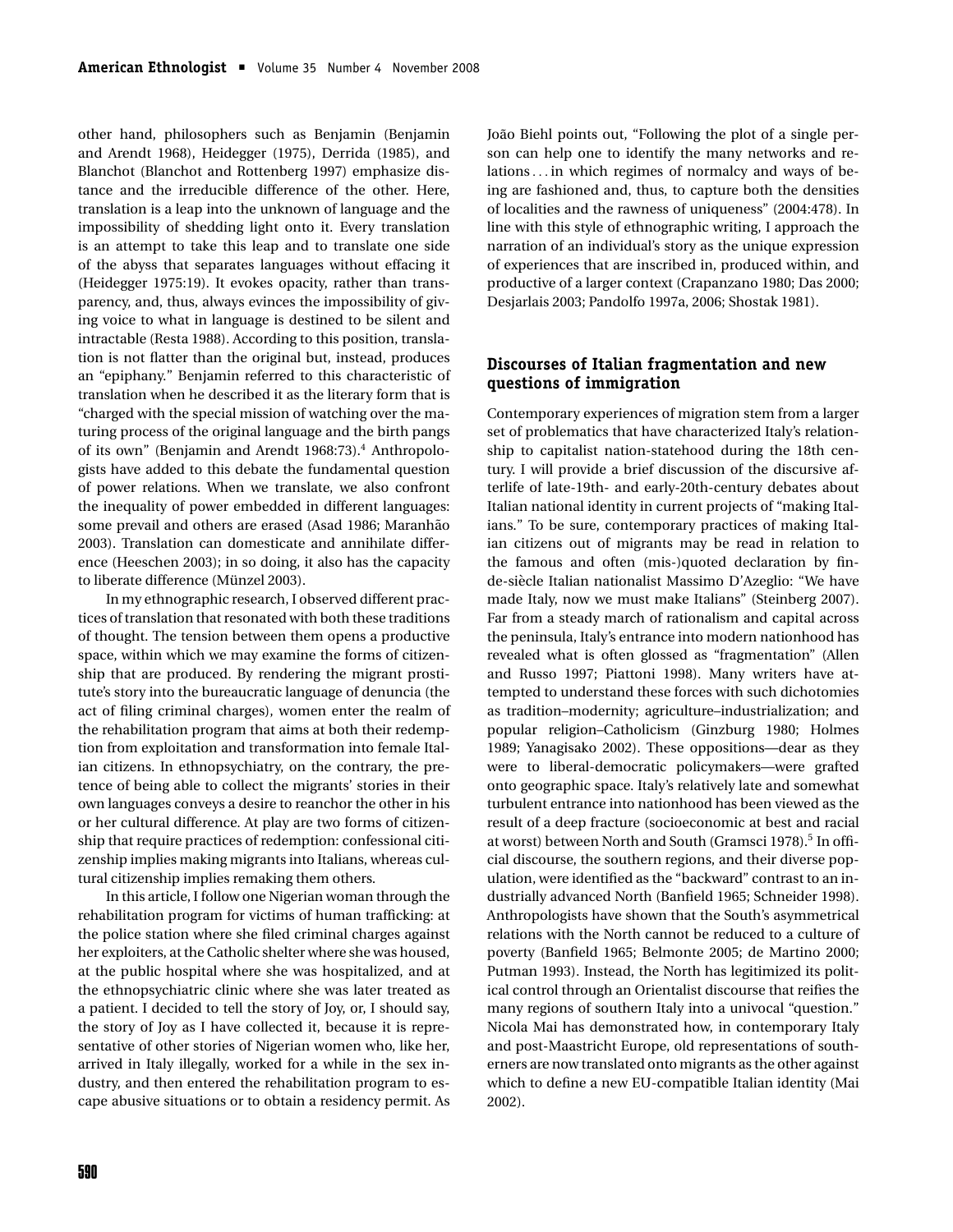other hand, philosophers such as Benjamin (Benjamin and Arendt 1968), Heidegger (1975), Derrida (1985), and Blanchot (Blanchot and Rottenberg 1997) emphasize distance and the irreducible difference of the other. Here, translation is a leap into the unknown of language and the impossibility of shedding light onto it. Every translation is an attempt to take this leap and to translate one side of the abyss that separates languages without effacing it (Heidegger 1975:19). It evokes opacity, rather than transparency, and, thus, always evinces the impossibility of giving voice to what in language is destined to be silent and intractable (Resta 1988). According to this position, translation is not flatter than the original but, instead, produces an "epiphany." Benjamin referred to this characteristic of translation when he described it as the literary form that is "charged with the special mission of watching over the maturing process of the original language and the birth pangs of its own" (Benjamin and Arendt 1968:73).<sup>4</sup> Anthropologists have added to this debate the fundamental question of power relations. When we translate, we also confront the inequality of power embedded in different languages: some prevail and others are erased (Asad 1986; Maranhão 2003). Translation can domesticate and annihilate difference (Heeschen 2003); in so doing, it also has the capacity to liberate difference (Münzel 2003).

In my ethnographic research, I observed different practices of translation that resonated with both these traditions of thought. The tension between them opens a productive space, within which we may examine the forms of citizenship that are produced. By rendering the migrant prostitute's story into the bureaucratic language of denuncia (the act of filing criminal charges), women enter the realm of the rehabilitation program that aims at both their redemption from exploitation and transformation into female Italian citizens. In ethnopsychiatry, on the contrary, the pretence of being able to collect the migrants' stories in their own languages conveys a desire to reanchor the other in his or her cultural difference. At play are two forms of citizenship that require practices of redemption: confessional citizenship implies making migrants into Italians, whereas cultural citizenship implies remaking them others.

In this article, I follow one Nigerian woman through the rehabilitation program for victims of human trafficking: at the police station where she filed criminal charges against her exploiters, at the Catholic shelter where she was housed, at the public hospital where she was hospitalized, and at the ethnopsychiatric clinic where she was later treated as a patient. I decided to tell the story of Joy, or, I should say, the story of Joy as I have collected it, because it is representative of other stories of Nigerian women who, like her, arrived in Italy illegally, worked for a while in the sex industry, and then entered the rehabilitation program to escape abusive situations or to obtain a residency permit. As João Biehl points out, "Following the plot of a single person can help one to identify the many networks and relations ... in which regimes of normalcy and ways of being are fashioned and, thus, to capture both the densities of localities and the rawness of uniqueness" (2004:478). In line with this style of ethnographic writing, I approach the narration of an individual's story as the unique expression of experiences that are inscribed in, produced within, and productive of a larger context (Crapanzano 1980; Das 2000; Desjarlais 2003; Pandolfo 1997a, 2006; Shostak 1981).

# **Discourses of Italian fragmentation and new questions of immigration**

Contemporary experiences of migration stem from a larger set of problematics that have characterized Italy's relationship to capitalist nation-statehood during the 18th century. I will provide a brief discussion of the discursive afterlife of late-19th- and early-20th-century debates about Italian national identity in current projects of "making Italians." To be sure, contemporary practices of making Italian citizens out of migrants may be read in relation to the famous and often (mis-)quoted declaration by finde-siecle Italian nationalist Massimo D'Azeglio: "We have ` made Italy, now we must make Italians" (Steinberg 2007). Far from a steady march of rationalism and capital across the peninsula, Italy's entrance into modern nationhood has revealed what is often glossed as "fragmentation" (Allen and Russo 1997; Piattoni 1998). Many writers have attempted to understand these forces with such dichotomies as tradition–modernity; agriculture–industrialization; and popular religion–Catholicism (Ginzburg 1980; Holmes 1989; Yanagisako 2002). These oppositions—dear as they were to liberal-democratic policymakers—were grafted onto geographic space. Italy's relatively late and somewhat turbulent entrance into nationhood has been viewed as the result of a deep fracture (socioeconomic at best and racial at worst) between North and South (Gramsci 1978).<sup>5</sup> In official discourse, the southern regions, and their diverse population, were identified as the "backward" contrast to an industrially advanced North (Banfield 1965; Schneider 1998). Anthropologists have shown that the South's asymmetrical relations with the North cannot be reduced to a culture of poverty (Banfield 1965; Belmonte 2005; de Martino 2000; Putman 1993). Instead, the North has legitimized its political control through an Orientalist discourse that reifies the many regions of southern Italy into a univocal "question." Nicola Mai has demonstrated how, in contemporary Italy and post-Maastricht Europe, old representations of southerners are now translated onto migrants as the other against which to define a new EU-compatible Italian identity (Mai 2002).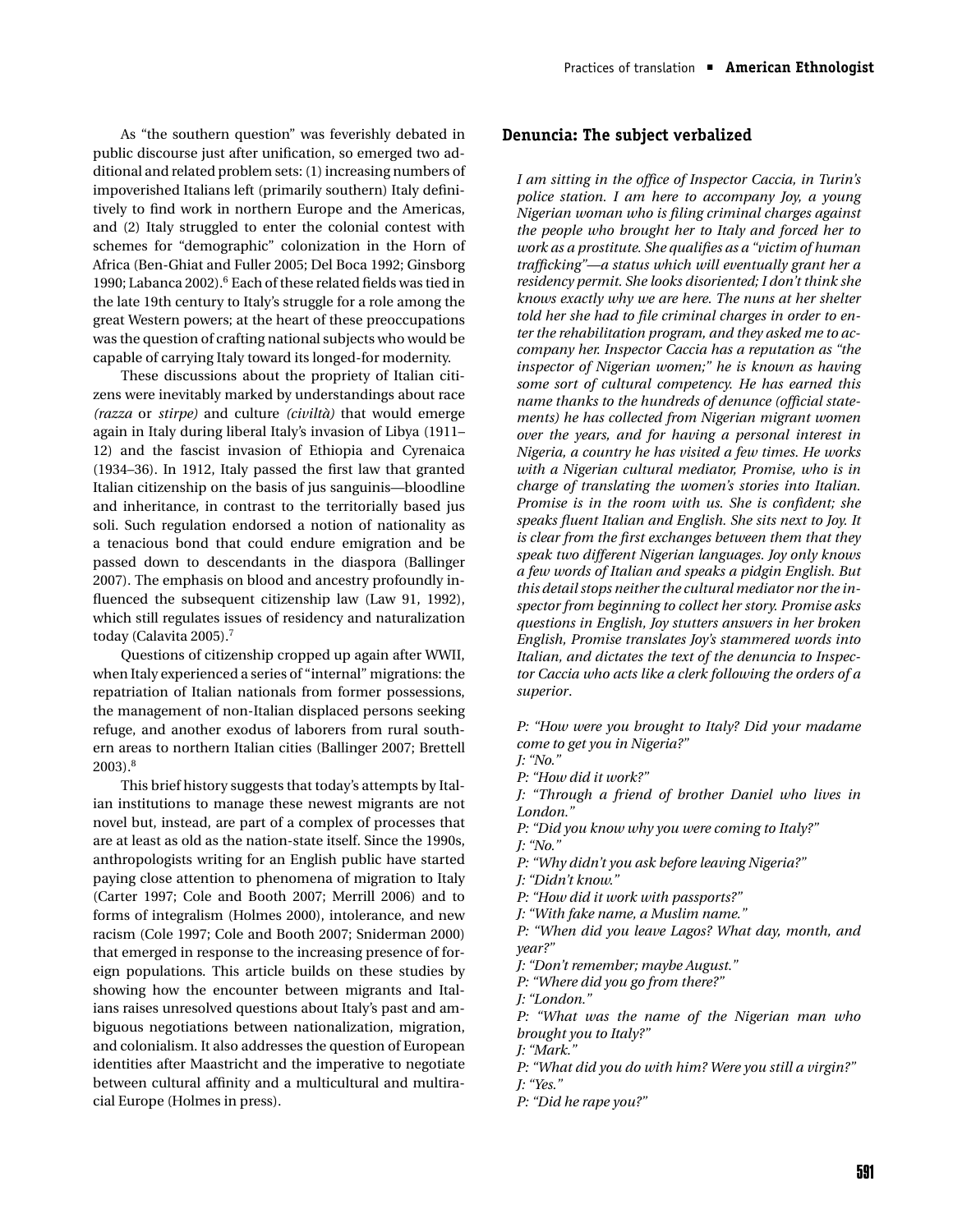As "the southern question" was feverishly debated in public discourse just after unification, so emerged two additional and related problem sets: (1) increasing numbers of impoverished Italians left (primarily southern) Italy definitively to find work in northern Europe and the Americas, and (2) Italy struggled to enter the colonial contest with schemes for "demographic" colonization in the Horn of Africa (Ben-Ghiat and Fuller 2005; Del Boca 1992; Ginsborg 1990; Labanca 2002).<sup>6</sup> Each of these related fields was tied in the late 19th century to Italy's struggle for a role among the great Western powers; at the heart of these preoccupations was the question of crafting national subjects who would be capable of carrying Italy toward its longed-for modernity.

These discussions about the propriety of Italian citizens were inevitably marked by understandings about race *(razza* or *stirpe)* and culture *(civilta) `* that would emerge again in Italy during liberal Italy's invasion of Libya (1911– 12) and the fascist invasion of Ethiopia and Cyrenaica (1934–36). In 1912, Italy passed the first law that granted Italian citizenship on the basis of jus sanguinis—bloodline and inheritance, in contrast to the territorially based jus soli. Such regulation endorsed a notion of nationality as a tenacious bond that could endure emigration and be passed down to descendants in the diaspora (Ballinger 2007). The emphasis on blood and ancestry profoundly influenced the subsequent citizenship law (Law 91, 1992), which still regulates issues of residency and naturalization today (Calavita 2005).7

Questions of citizenship cropped up again after WWII, when Italy experienced a series of "internal" migrations: the repatriation of Italian nationals from former possessions, the management of non-Italian displaced persons seeking refuge, and another exodus of laborers from rural southern areas to northern Italian cities (Ballinger 2007; Brettell  $2003$ .<sup>8</sup>

This brief history suggests that today's attempts by Italian institutions to manage these newest migrants are not novel but, instead, are part of a complex of processes that are at least as old as the nation-state itself. Since the 1990s, anthropologists writing for an English public have started paying close attention to phenomena of migration to Italy (Carter 1997; Cole and Booth 2007; Merrill 2006) and to forms of integralism (Holmes 2000), intolerance, and new racism (Cole 1997; Cole and Booth 2007; Sniderman 2000) that emerged in response to the increasing presence of foreign populations. This article builds on these studies by showing how the encounter between migrants and Italians raises unresolved questions about Italy's past and ambiguous negotiations between nationalization, migration, and colonialism. It also addresses the question of European identities after Maastricht and the imperative to negotiate between cultural affinity and a multicultural and multiracial Europe (Holmes in press).

#### **Denuncia: The subject verbalized**

*I am sitting in the office of Inspector Caccia, in Turin's police station. I am here to accompany Joy, a young Nigerian woman who is filing criminal charges against the people who brought her to Italy and forced her to work as a prostitute. She qualifies as a "victim of human trafficking"—a status which will eventually grant her a residency permit. She looks disoriented; I don't think she knows exactly why we are here. The nuns at her shelter told her she had to file criminal charges in order to enter the rehabilitation program, and they asked me to accompany her. Inspector Caccia has a reputation as "the inspector of Nigerian women;" he is known as having some sort of cultural competency. He has earned this name thanks to the hundreds of denunce (official statements) he has collected from Nigerian migrant women over the years, and for having a personal interest in Nigeria, a country he has visited a few times. He works with a Nigerian cultural mediator, Promise, who is in charge of translating the women's stories into Italian. Promise is in the room with us. She is confident; she speaks fluent Italian and English. She sits next to Joy. It is clear from the first exchanges between them that they speak two different Nigerian languages. Joy only knows a few words of Italian and speaks a pidgin English. But this detail stops neither the cultural mediator nor the inspector from beginning to collect her story. Promise asks questions in English, Joy stutters answers in her broken English, Promise translates Joy's stammered words into Italian, and dictates the text of the denuncia to Inspector Caccia who acts like a clerk following the orders of a superior*.

*P: "How were you brought to Italy? Did your madame come to get you in Nigeria?"*

*J: "No."*

*P: "How did it work?"*

*J: "Through a friend of brother Daniel who lives in London."*

*P: "Did you know why you were coming to Italy?" J: "No."*

*P: "Why didn't you ask before leaving Nigeria?"*

*J: "Didn't know."*

*P: "How did it work with passports?"*

*J: "With fake name, a Muslim name."*

*P: "When did you leave Lagos? What day, month, and year?"*

*J: "Don't remember; maybe August."*

*P: "Where did you go from there?"*

*J: "London."*

*P: "What was the name of the Nigerian man who brought you to Italy?"*

*J: "Mark."*

*P: "What did you do with him? Were you still a virgin?" J: "Yes."*

*P: "Did he rape you?"*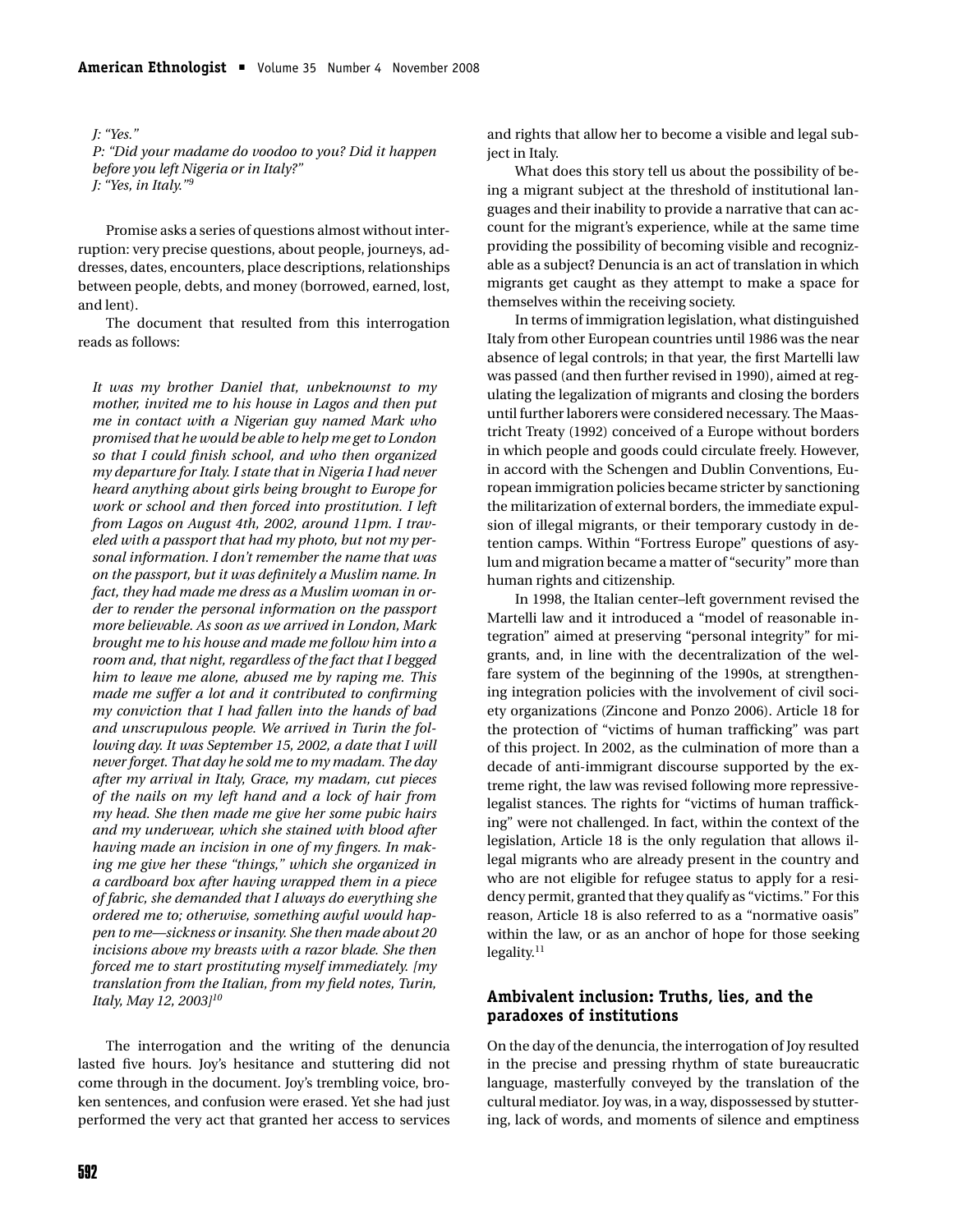*J: "Yes."*

*P: "Did your madame do voodoo to you? Did it happen before you left Nigeria or in Italy?" J: "Yes, in Italy."<sup>9</sup>*

Promise asks a series of questions almost without interruption: very precise questions, about people, journeys, addresses, dates, encounters, place descriptions, relationships between people, debts, and money (borrowed, earned, lost, and lent).

The document that resulted from this interrogation reads as follows:

*It was my brother Daniel that, unbeknownst to my mother, invited me to his house in Lagos and then put me in contact with a Nigerian guy named Mark who promised that he would be able to help me get to London so that I could finish school, and who then organized my departure for Italy. I state that in Nigeria I had never heard anything about girls being brought to Europe for work or school and then forced into prostitution. I left from Lagos on August 4th, 2002, around 11pm. I traveled with a passport that had my photo, but not my personal information. I don't remember the name that was on the passport, but it was definitely a Muslim name. In fact, they had made me dress as a Muslim woman in order to render the personal information on the passport more believable. As soon as we arrived in London, Mark brought me to his house and made me follow him into a room and, that night, regardless of the fact that I begged him to leave me alone, abused me by raping me. This made me suffer a lot and it contributed to confirming my conviction that I had fallen into the hands of bad and unscrupulous people. We arrived in Turin the following day. It was September 15, 2002, a date that I will never forget. That day he sold me to my madam. The day after my arrival in Italy, Grace, my madam, cut pieces of the nails on my left hand and a lock of hair from my head. She then made me give her some pubic hairs and my underwear, which she stained with blood after having made an incision in one of my fingers. In making me give her these "things," which she organized in a cardboard box after having wrapped them in a piece of fabric, she demanded that I always do everything she ordered me to; otherwise, something awful would happen to me—sickness or insanity. She then made about 20 incisions above my breasts with a razor blade. She then forced me to start prostituting myself immediately. [my translation from the Italian, from my field notes, Turin, Italy, May 12, 2003]<sup>10</sup>*

The interrogation and the writing of the denuncia lasted five hours. Joy's hesitance and stuttering did not come through in the document. Joy's trembling voice, broken sentences, and confusion were erased. Yet she had just performed the very act that granted her access to services

and rights that allow her to become a visible and legal subject in Italy.

What does this story tell us about the possibility of being a migrant subject at the threshold of institutional languages and their inability to provide a narrative that can account for the migrant's experience, while at the same time providing the possibility of becoming visible and recognizable as a subject? Denuncia is an act of translation in which migrants get caught as they attempt to make a space for themselves within the receiving society.

In terms of immigration legislation, what distinguished Italy from other European countries until 1986 was the near absence of legal controls; in that year, the first Martelli law was passed (and then further revised in 1990), aimed at regulating the legalization of migrants and closing the borders until further laborers were considered necessary. The Maastricht Treaty (1992) conceived of a Europe without borders in which people and goods could circulate freely. However, in accord with the Schengen and Dublin Conventions, European immigration policies became stricter by sanctioning the militarization of external borders, the immediate expulsion of illegal migrants, or their temporary custody in detention camps. Within "Fortress Europe" questions of asylum and migration became a matter of "security" more than human rights and citizenship.

In 1998, the Italian center–left government revised the Martelli law and it introduced a "model of reasonable integration" aimed at preserving "personal integrity" for migrants, and, in line with the decentralization of the welfare system of the beginning of the 1990s, at strengthening integration policies with the involvement of civil society organizations (Zincone and Ponzo 2006). Article 18 for the protection of "victims of human trafficking" was part of this project. In 2002, as the culmination of more than a decade of anti-immigrant discourse supported by the extreme right, the law was revised following more repressivelegalist stances. The rights for "victims of human trafficking" were not challenged. In fact, within the context of the legislation, Article 18 is the only regulation that allows illegal migrants who are already present in the country and who are not eligible for refugee status to apply for a residency permit, granted that they qualify as "victims." For this reason, Article 18 is also referred to as a "normative oasis" within the law, or as an anchor of hope for those seeking  $legality<sup>11</sup>$ 

### **Ambivalent inclusion: Truths, lies, and the paradoxes of institutions**

On the day of the denuncia, the interrogation of Joy resulted in the precise and pressing rhythm of state bureaucratic language, masterfully conveyed by the translation of the cultural mediator. Joy was, in a way, dispossessed by stuttering, lack of words, and moments of silence and emptiness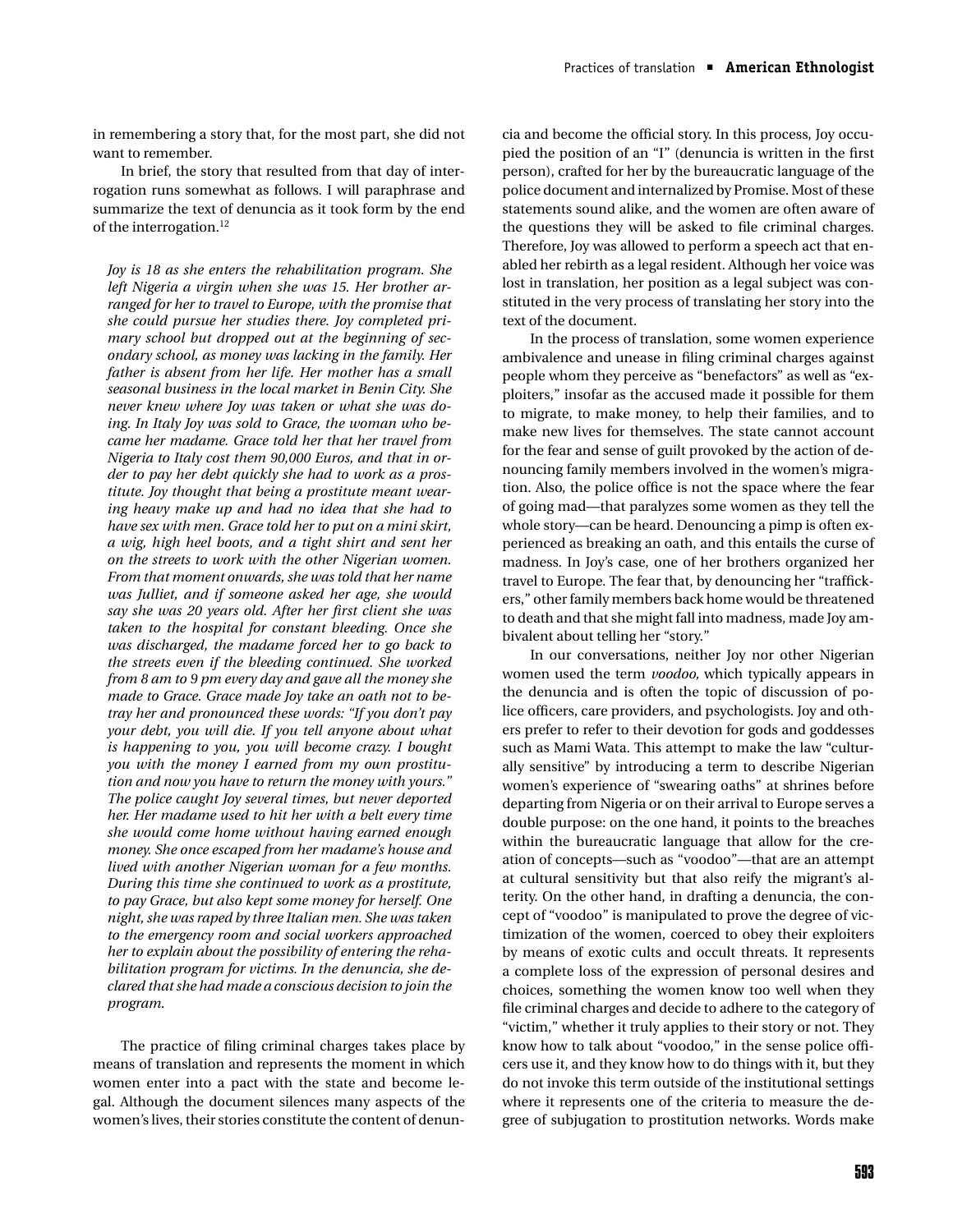in remembering a story that, for the most part, she did not want to remember.

In brief, the story that resulted from that day of interrogation runs somewhat as follows. I will paraphrase and summarize the text of denuncia as it took form by the end of the interrogation.<sup>12</sup>

*Joy is 18 as she enters the rehabilitation program. She left Nigeria a virgin when she was 15. Her brother arranged for her to travel to Europe, with the promise that she could pursue her studies there. Joy completed primary school but dropped out at the beginning of secondary school, as money was lacking in the family. Her father is absent from her life. Her mother has a small seasonal business in the local market in Benin City. She never knew where Joy was taken or what she was doing. In Italy Joy was sold to Grace, the woman who became her madame. Grace told her that her travel from Nigeria to Italy cost them 90,000 Euros, and that in order to pay her debt quickly she had to work as a prostitute. Joy thought that being a prostitute meant wearing heavy make up and had no idea that she had to have sex with men. Grace told her to put on a mini skirt, a wig, high heel boots, and a tight shirt and sent her on the streets to work with the other Nigerian women. From that moment onwards, she was told that her name was Julliet, and if someone asked her age, she would say she was 20 years old. After her first client she was taken to the hospital for constant bleeding. Once she was discharged, the madame forced her to go back to the streets even if the bleeding continued. She worked from 8 am to 9 pm every day and gave all the money she made to Grace. Grace made Joy take an oath not to betray her and pronounced these words: "If you don't pay your debt, you will die. If you tell anyone about what is happening to you, you will become crazy. I bought you with the money I earned from my own prostitution and now you have to return the money with yours." The police caught Joy several times, but never deported her. Her madame used to hit her with a belt every time she would come home without having earned enough money. She once escaped from her madame's house and lived with another Nigerian woman for a few months. During this time she continued to work as a prostitute, to pay Grace, but also kept some money for herself. One night, she was raped by three Italian men. She was taken to the emergency room and social workers approached her to explain about the possibility of entering the rehabilitation program for victims. In the denuncia, she declared that she had made a conscious decision to join the program*.

The practice of filing criminal charges takes place by means of translation and represents the moment in which women enter into a pact with the state and become legal. Although the document silences many aspects of the women's lives, their stories constitute the content of denuncia and become the official story. In this process, Joy occupied the position of an "I" (denuncia is written in the first person), crafted for her by the bureaucratic language of the police document and internalized by Promise. Most of these statements sound alike, and the women are often aware of the questions they will be asked to file criminal charges. Therefore, Joy was allowed to perform a speech act that enabled her rebirth as a legal resident. Although her voice was lost in translation, her position as a legal subject was constituted in the very process of translating her story into the text of the document.

In the process of translation, some women experience ambivalence and unease in filing criminal charges against people whom they perceive as "benefactors" as well as "exploiters," insofar as the accused made it possible for them to migrate, to make money, to help their families, and to make new lives for themselves. The state cannot account for the fear and sense of guilt provoked by the action of denouncing family members involved in the women's migration. Also, the police office is not the space where the fear of going mad—that paralyzes some women as they tell the whole story—can be heard. Denouncing a pimp is often experienced as breaking an oath, and this entails the curse of madness. In Joy's case, one of her brothers organized her travel to Europe. The fear that, by denouncing her "traffickers," other family members back home would be threatened to death and that she might fall into madness, made Joy ambivalent about telling her "story."

In our conversations, neither Joy nor other Nigerian women used the term *voodoo,* which typically appears in the denuncia and is often the topic of discussion of police officers, care providers, and psychologists. Joy and others prefer to refer to their devotion for gods and goddesses such as Mami Wata. This attempt to make the law "culturally sensitive" by introducing a term to describe Nigerian women's experience of "swearing oaths" at shrines before departing from Nigeria or on their arrival to Europe serves a double purpose: on the one hand, it points to the breaches within the bureaucratic language that allow for the creation of concepts—such as "voodoo"—that are an attempt at cultural sensitivity but that also reify the migrant's alterity. On the other hand, in drafting a denuncia, the concept of "voodoo" is manipulated to prove the degree of victimization of the women, coerced to obey their exploiters by means of exotic cults and occult threats. It represents a complete loss of the expression of personal desires and choices, something the women know too well when they file criminal charges and decide to adhere to the category of "victim," whether it truly applies to their story or not. They know how to talk about "voodoo," in the sense police officers use it, and they know how to do things with it, but they do not invoke this term outside of the institutional settings where it represents one of the criteria to measure the degree of subjugation to prostitution networks. Words make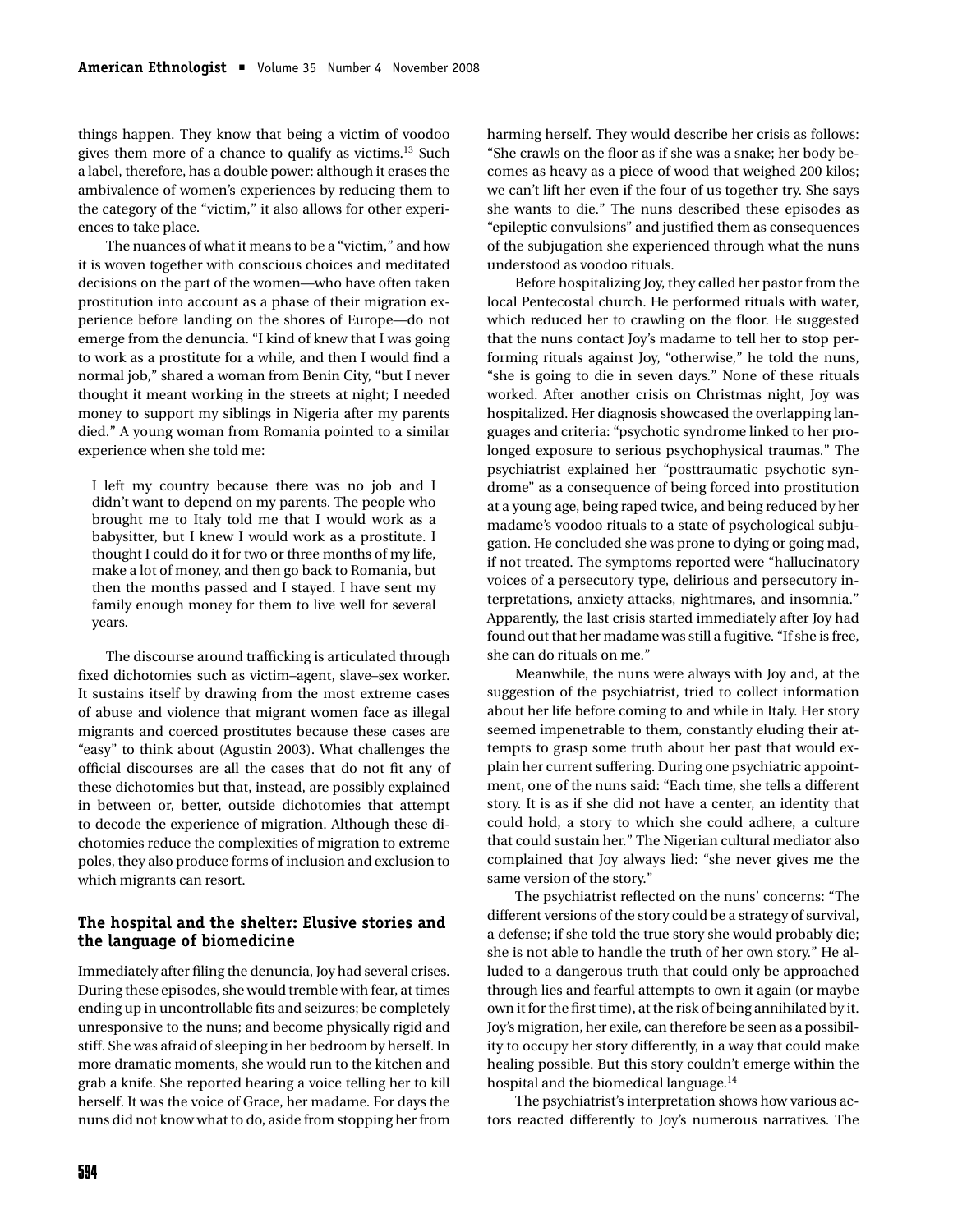things happen. They know that being a victim of voodoo gives them more of a chance to qualify as victims.<sup>13</sup> Such a label, therefore, has a double power: although it erases the ambivalence of women's experiences by reducing them to the category of the "victim," it also allows for other experiences to take place.

The nuances of what it means to be a "victim," and how it is woven together with conscious choices and meditated decisions on the part of the women—who have often taken prostitution into account as a phase of their migration experience before landing on the shores of Europe—do not emerge from the denuncia. "I kind of knew that I was going to work as a prostitute for a while, and then I would find a normal job," shared a woman from Benin City, "but I never thought it meant working in the streets at night; I needed money to support my siblings in Nigeria after my parents died." A young woman from Romania pointed to a similar experience when she told me:

I left my country because there was no job and I didn't want to depend on my parents. The people who brought me to Italy told me that I would work as a babysitter, but I knew I would work as a prostitute. I thought I could do it for two or three months of my life, make a lot of money, and then go back to Romania, but then the months passed and I stayed. I have sent my family enough money for them to live well for several years.

The discourse around trafficking is articulated through fixed dichotomies such as victim–agent, slave–sex worker. It sustains itself by drawing from the most extreme cases of abuse and violence that migrant women face as illegal migrants and coerced prostitutes because these cases are "easy" to think about (Agustin 2003). What challenges the official discourses are all the cases that do not fit any of these dichotomies but that, instead, are possibly explained in between or, better, outside dichotomies that attempt to decode the experience of migration. Although these dichotomies reduce the complexities of migration to extreme poles, they also produce forms of inclusion and exclusion to which migrants can resort.

# **The hospital and the shelter: Elusive stories and the language of biomedicine**

Immediately after filing the denuncia, Joy had several crises. During these episodes, she would tremble with fear, at times ending up in uncontrollable fits and seizures; be completely unresponsive to the nuns; and become physically rigid and stiff. She was afraid of sleeping in her bedroom by herself. In more dramatic moments, she would run to the kitchen and grab a knife. She reported hearing a voice telling her to kill herself. It was the voice of Grace, her madame. For days the nuns did not know what to do, aside from stopping her from

harming herself. They would describe her crisis as follows: "She crawls on the floor as if she was a snake; her body becomes as heavy as a piece of wood that weighed 200 kilos; we can't lift her even if the four of us together try. She says she wants to die." The nuns described these episodes as "epileptic convulsions" and justified them as consequences of the subjugation she experienced through what the nuns understood as voodoo rituals.

Before hospitalizing Joy, they called her pastor from the local Pentecostal church. He performed rituals with water, which reduced her to crawling on the floor. He suggested that the nuns contact Joy's madame to tell her to stop performing rituals against Joy, "otherwise," he told the nuns, "she is going to die in seven days." None of these rituals worked. After another crisis on Christmas night, Joy was hospitalized. Her diagnosis showcased the overlapping languages and criteria: "psychotic syndrome linked to her prolonged exposure to serious psychophysical traumas." The psychiatrist explained her "posttraumatic psychotic syndrome" as a consequence of being forced into prostitution at a young age, being raped twice, and being reduced by her madame's voodoo rituals to a state of psychological subjugation. He concluded she was prone to dying or going mad, if not treated. The symptoms reported were "hallucinatory voices of a persecutory type, delirious and persecutory interpretations, anxiety attacks, nightmares, and insomnia." Apparently, the last crisis started immediately after Joy had found out that her madame was still a fugitive. "If she is free, she can do rituals on me."

Meanwhile, the nuns were always with Joy and, at the suggestion of the psychiatrist, tried to collect information about her life before coming to and while in Italy. Her story seemed impenetrable to them, constantly eluding their attempts to grasp some truth about her past that would explain her current suffering. During one psychiatric appointment, one of the nuns said: "Each time, she tells a different story. It is as if she did not have a center, an identity that could hold, a story to which she could adhere, a culture that could sustain her." The Nigerian cultural mediator also complained that Joy always lied: "she never gives me the same version of the story."

The psychiatrist reflected on the nuns' concerns: "The different versions of the story could be a strategy of survival, a defense; if she told the true story she would probably die; she is not able to handle the truth of her own story." He alluded to a dangerous truth that could only be approached through lies and fearful attempts to own it again (or maybe own it for the first time), at the risk of being annihilated by it. Joy's migration, her exile, can therefore be seen as a possibility to occupy her story differently, in a way that could make healing possible. But this story couldn't emerge within the hospital and the biomedical language.<sup>14</sup>

The psychiatrist's interpretation shows how various actors reacted differently to Joy's numerous narratives. The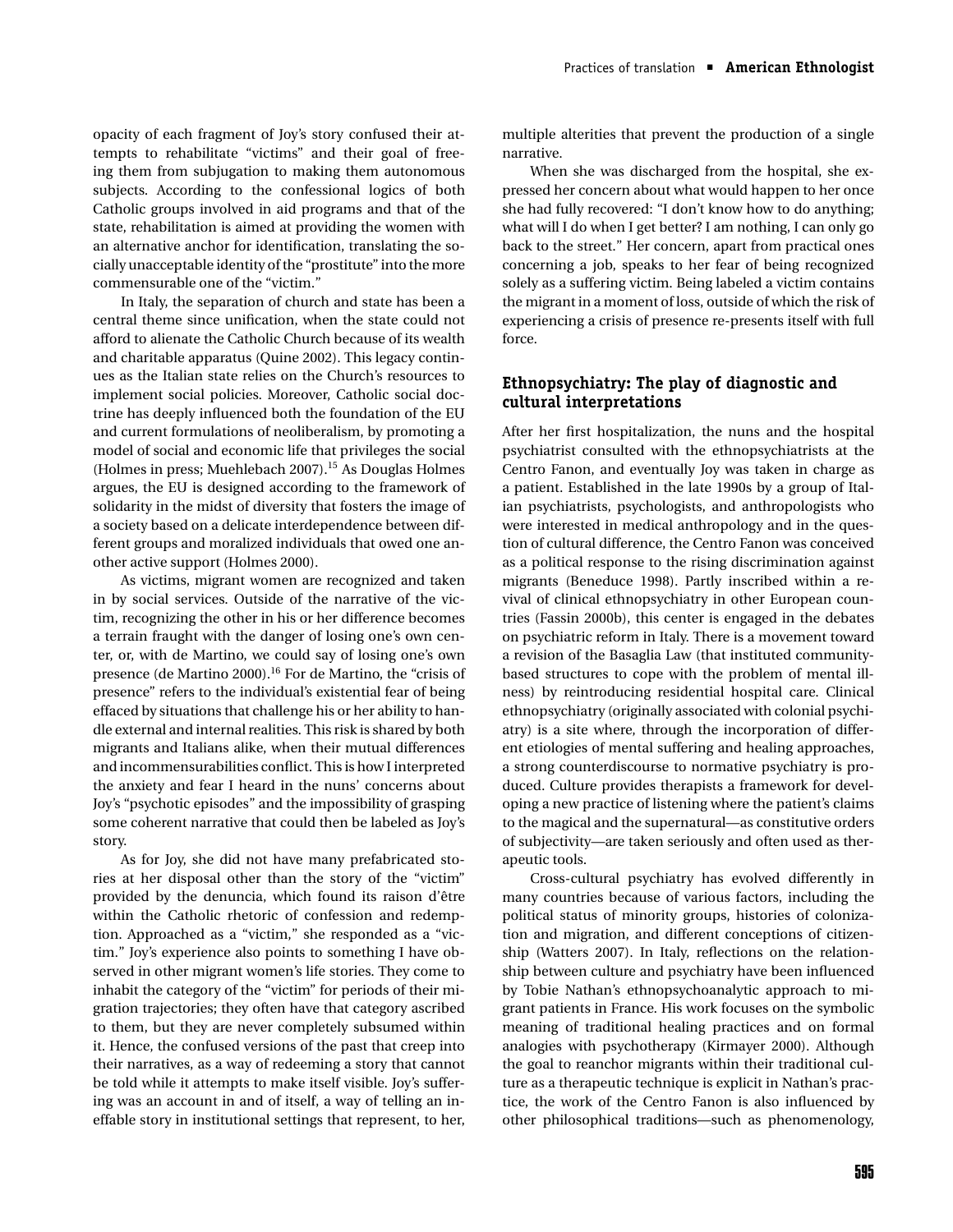opacity of each fragment of Joy's story confused their attempts to rehabilitate "victims" and their goal of freeing them from subjugation to making them autonomous subjects. According to the confessional logics of both Catholic groups involved in aid programs and that of the state, rehabilitation is aimed at providing the women with an alternative anchor for identification, translating the socially unacceptable identity of the "prostitute" into the more commensurable one of the "victim."

In Italy, the separation of church and state has been a central theme since unification, when the state could not afford to alienate the Catholic Church because of its wealth and charitable apparatus (Quine 2002). This legacy continues as the Italian state relies on the Church's resources to implement social policies. Moreover, Catholic social doctrine has deeply influenced both the foundation of the EU and current formulations of neoliberalism, by promoting a model of social and economic life that privileges the social (Holmes in press; Muehlebach 2007).<sup>15</sup> As Douglas Holmes argues, the EU is designed according to the framework of solidarity in the midst of diversity that fosters the image of a society based on a delicate interdependence between different groups and moralized individuals that owed one another active support (Holmes 2000).

As victims, migrant women are recognized and taken in by social services. Outside of the narrative of the victim, recognizing the other in his or her difference becomes a terrain fraught with the danger of losing one's own center, or, with de Martino, we could say of losing one's own presence (de Martino 2000).<sup>16</sup> For de Martino, the "crisis of presence" refers to the individual's existential fear of being effaced by situations that challenge his or her ability to handle external and internal realities. This risk is shared by both migrants and Italians alike, when their mutual differences and incommensurabilities conflict. This is how I interpreted the anxiety and fear I heard in the nuns' concerns about Joy's "psychotic episodes" and the impossibility of grasping some coherent narrative that could then be labeled as Joy's story.

As for Joy, she did not have many prefabricated stories at her disposal other than the story of the "victim" provided by the denuncia, which found its raison d'être within the Catholic rhetoric of confession and redemption. Approached as a "victim," she responded as a "victim." Joy's experience also points to something I have observed in other migrant women's life stories. They come to inhabit the category of the "victim" for periods of their migration trajectories; they often have that category ascribed to them, but they are never completely subsumed within it. Hence, the confused versions of the past that creep into their narratives, as a way of redeeming a story that cannot be told while it attempts to make itself visible. Joy's suffering was an account in and of itself, a way of telling an ineffable story in institutional settings that represent, to her,

multiple alterities that prevent the production of a single narrative.

When she was discharged from the hospital, she expressed her concern about what would happen to her once she had fully recovered: "I don't know how to do anything; what will I do when I get better? I am nothing, I can only go back to the street." Her concern, apart from practical ones concerning a job, speaks to her fear of being recognized solely as a suffering victim. Being labeled a victim contains the migrant in a moment of loss, outside of which the risk of experiencing a crisis of presence re-presents itself with full force.

## **Ethnopsychiatry: The play of diagnostic and cultural interpretations**

After her first hospitalization, the nuns and the hospital psychiatrist consulted with the ethnopsychiatrists at the Centro Fanon, and eventually Joy was taken in charge as a patient. Established in the late 1990s by a group of Italian psychiatrists, psychologists, and anthropologists who were interested in medical anthropology and in the question of cultural difference, the Centro Fanon was conceived as a political response to the rising discrimination against migrants (Beneduce 1998). Partly inscribed within a revival of clinical ethnopsychiatry in other European countries (Fassin 2000b), this center is engaged in the debates on psychiatric reform in Italy. There is a movement toward a revision of the Basaglia Law (that instituted communitybased structures to cope with the problem of mental illness) by reintroducing residential hospital care. Clinical ethnopsychiatry (originally associated with colonial psychiatry) is a site where, through the incorporation of different etiologies of mental suffering and healing approaches, a strong counterdiscourse to normative psychiatry is produced. Culture provides therapists a framework for developing a new practice of listening where the patient's claims to the magical and the supernatural—as constitutive orders of subjectivity—are taken seriously and often used as therapeutic tools.

Cross-cultural psychiatry has evolved differently in many countries because of various factors, including the political status of minority groups, histories of colonization and migration, and different conceptions of citizenship (Watters 2007). In Italy, reflections on the relationship between culture and psychiatry have been influenced by Tobie Nathan's ethnopsychoanalytic approach to migrant patients in France. His work focuses on the symbolic meaning of traditional healing practices and on formal analogies with psychotherapy (Kirmayer 2000). Although the goal to reanchor migrants within their traditional culture as a therapeutic technique is explicit in Nathan's practice, the work of the Centro Fanon is also influenced by other philosophical traditions—such as phenomenology,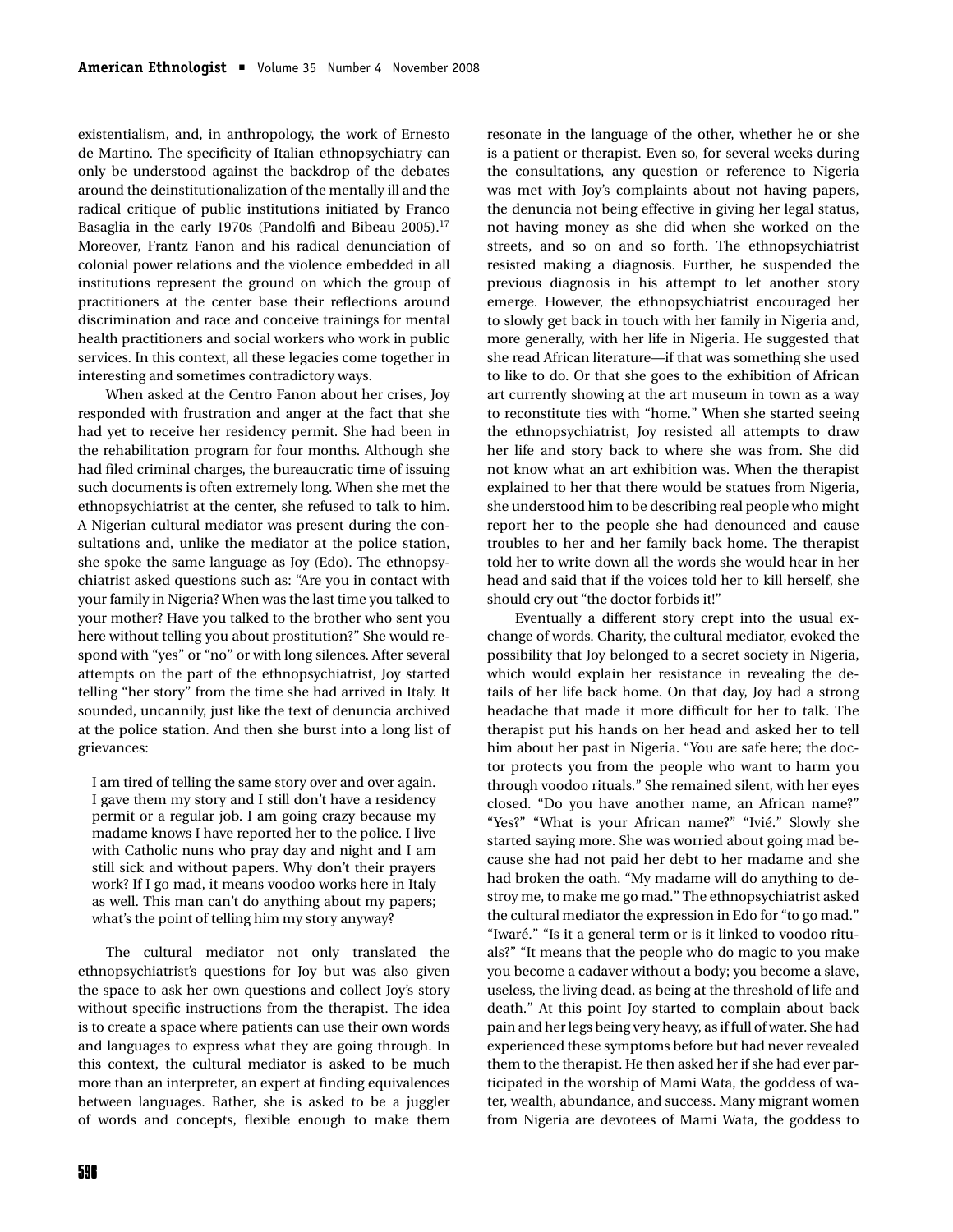existentialism, and, in anthropology, the work of Ernesto de Martino. The specificity of Italian ethnopsychiatry can only be understood against the backdrop of the debates around the deinstitutionalization of the mentally ill and the radical critique of public institutions initiated by Franco Basaglia in the early 1970s (Pandolfi and Bibeau 2005).<sup>17</sup> Moreover, Frantz Fanon and his radical denunciation of colonial power relations and the violence embedded in all institutions represent the ground on which the group of practitioners at the center base their reflections around discrimination and race and conceive trainings for mental health practitioners and social workers who work in public services. In this context, all these legacies come together in interesting and sometimes contradictory ways.

When asked at the Centro Fanon about her crises, Joy responded with frustration and anger at the fact that she had yet to receive her residency permit. She had been in the rehabilitation program for four months. Although she had filed criminal charges, the bureaucratic time of issuing such documents is often extremely long. When she met the ethnopsychiatrist at the center, she refused to talk to him. A Nigerian cultural mediator was present during the consultations and, unlike the mediator at the police station, she spoke the same language as Joy (Edo). The ethnopsychiatrist asked questions such as: "Are you in contact with your family in Nigeria? When was the last time you talked to your mother? Have you talked to the brother who sent you here without telling you about prostitution?" She would respond with "yes" or "no" or with long silences. After several attempts on the part of the ethnopsychiatrist, Joy started telling "her story" from the time she had arrived in Italy. It sounded, uncannily, just like the text of denuncia archived at the police station. And then she burst into a long list of grievances:

I am tired of telling the same story over and over again. I gave them my story and I still don't have a residency permit or a regular job. I am going crazy because my madame knows I have reported her to the police. I live with Catholic nuns who pray day and night and I am still sick and without papers. Why don't their prayers work? If I go mad, it means voodoo works here in Italy as well. This man can't do anything about my papers; what's the point of telling him my story anyway?

The cultural mediator not only translated the ethnopsychiatrist's questions for Joy but was also given the space to ask her own questions and collect Joy's story without specific instructions from the therapist. The idea is to create a space where patients can use their own words and languages to express what they are going through. In this context, the cultural mediator is asked to be much more than an interpreter, an expert at finding equivalences between languages. Rather, she is asked to be a juggler of words and concepts, flexible enough to make them

resonate in the language of the other, whether he or she is a patient or therapist. Even so, for several weeks during the consultations, any question or reference to Nigeria was met with Joy's complaints about not having papers, the denuncia not being effective in giving her legal status, not having money as she did when she worked on the streets, and so on and so forth. The ethnopsychiatrist resisted making a diagnosis. Further, he suspended the previous diagnosis in his attempt to let another story emerge. However, the ethnopsychiatrist encouraged her to slowly get back in touch with her family in Nigeria and, more generally, with her life in Nigeria. He suggested that she read African literature—if that was something she used to like to do. Or that she goes to the exhibition of African art currently showing at the art museum in town as a way to reconstitute ties with "home." When she started seeing the ethnopsychiatrist, Joy resisted all attempts to draw her life and story back to where she was from. She did not know what an art exhibition was. When the therapist explained to her that there would be statues from Nigeria, she understood him to be describing real people who might report her to the people she had denounced and cause troubles to her and her family back home. The therapist told her to write down all the words she would hear in her head and said that if the voices told her to kill herself, she should cry out "the doctor forbids it!"

Eventually a different story crept into the usual exchange of words. Charity, the cultural mediator, evoked the possibility that Joy belonged to a secret society in Nigeria, which would explain her resistance in revealing the details of her life back home. On that day, Joy had a strong headache that made it more difficult for her to talk. The therapist put his hands on her head and asked her to tell him about her past in Nigeria. "You are safe here; the doctor protects you from the people who want to harm you through voodoo rituals." She remained silent, with her eyes closed. "Do you have another name, an African name?" "Yes?" "What is your African name?" "Ivie." Slowly she ´ started saying more. She was worried about going mad because she had not paid her debt to her madame and she had broken the oath. "My madame will do anything to destroy me, to make me go mad." The ethnopsychiatrist asked the cultural mediator the expression in Edo for "to go mad." "Iwaré." "Is it a general term or is it linked to voodoo rituals?" "It means that the people who do magic to you make you become a cadaver without a body; you become a slave, useless, the living dead, as being at the threshold of life and death." At this point Joy started to complain about back pain and her legs being very heavy, as if full of water. She had experienced these symptoms before but had never revealed them to the therapist. He then asked her if she had ever participated in the worship of Mami Wata, the goddess of water, wealth, abundance, and success. Many migrant women from Nigeria are devotees of Mami Wata, the goddess to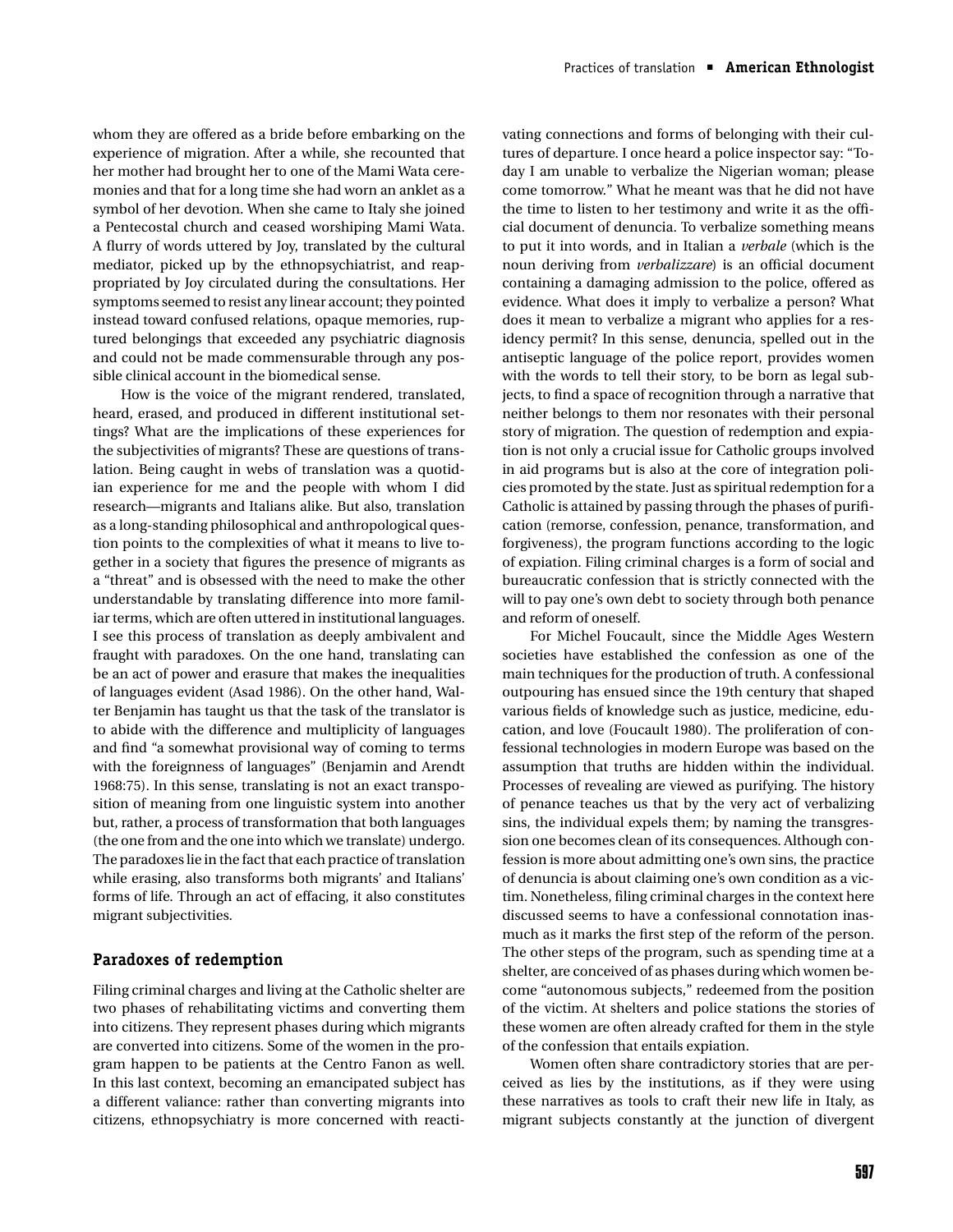whom they are offered as a bride before embarking on the experience of migration. After a while, she recounted that her mother had brought her to one of the Mami Wata ceremonies and that for a long time she had worn an anklet as a symbol of her devotion. When she came to Italy she joined a Pentecostal church and ceased worshiping Mami Wata. A flurry of words uttered by Joy, translated by the cultural mediator, picked up by the ethnopsychiatrist, and reappropriated by Joy circulated during the consultations. Her symptoms seemed to resist any linear account; they pointed instead toward confused relations, opaque memories, ruptured belongings that exceeded any psychiatric diagnosis and could not be made commensurable through any possible clinical account in the biomedical sense.

How is the voice of the migrant rendered, translated, heard, erased, and produced in different institutional settings? What are the implications of these experiences for the subjectivities of migrants? These are questions of translation. Being caught in webs of translation was a quotidian experience for me and the people with whom I did research—migrants and Italians alike. But also, translation as a long-standing philosophical and anthropological question points to the complexities of what it means to live together in a society that figures the presence of migrants as a "threat" and is obsessed with the need to make the other understandable by translating difference into more familiar terms, which are often uttered in institutional languages. I see this process of translation as deeply ambivalent and fraught with paradoxes. On the one hand, translating can be an act of power and erasure that makes the inequalities of languages evident (Asad 1986). On the other hand, Walter Benjamin has taught us that the task of the translator is to abide with the difference and multiplicity of languages and find "a somewhat provisional way of coming to terms with the foreignness of languages" (Benjamin and Arendt 1968:75). In this sense, translating is not an exact transposition of meaning from one linguistic system into another but, rather, a process of transformation that both languages (the one from and the one into which we translate) undergo. The paradoxes lie in the fact that each practice of translation while erasing, also transforms both migrants' and Italians' forms of life. Through an act of effacing, it also constitutes migrant subjectivities.

# **Paradoxes of redemption**

Filing criminal charges and living at the Catholic shelter are two phases of rehabilitating victims and converting them into citizens. They represent phases during which migrants are converted into citizens. Some of the women in the program happen to be patients at the Centro Fanon as well. In this last context, becoming an emancipated subject has a different valiance: rather than converting migrants into citizens, ethnopsychiatry is more concerned with reactivating connections and forms of belonging with their cultures of departure. I once heard a police inspector say: "Today I am unable to verbalize the Nigerian woman; please come tomorrow." What he meant was that he did not have the time to listen to her testimony and write it as the official document of denuncia. To verbalize something means to put it into words, and in Italian a *verbale* (which is the noun deriving from *verbalizzare*) is an official document containing a damaging admission to the police, offered as evidence. What does it imply to verbalize a person? What does it mean to verbalize a migrant who applies for a residency permit? In this sense, denuncia, spelled out in the antiseptic language of the police report, provides women with the words to tell their story, to be born as legal subjects, to find a space of recognition through a narrative that neither belongs to them nor resonates with their personal story of migration. The question of redemption and expiation is not only a crucial issue for Catholic groups involved in aid programs but is also at the core of integration policies promoted by the state. Just as spiritual redemption for a Catholic is attained by passing through the phases of purification (remorse, confession, penance, transformation, and forgiveness), the program functions according to the logic of expiation. Filing criminal charges is a form of social and bureaucratic confession that is strictly connected with the will to pay one's own debt to society through both penance and reform of oneself.

For Michel Foucault, since the Middle Ages Western societies have established the confession as one of the main techniques for the production of truth. A confessional outpouring has ensued since the 19th century that shaped various fields of knowledge such as justice, medicine, education, and love (Foucault 1980). The proliferation of confessional technologies in modern Europe was based on the assumption that truths are hidden within the individual. Processes of revealing are viewed as purifying. The history of penance teaches us that by the very act of verbalizing sins, the individual expels them; by naming the transgression one becomes clean of its consequences. Although confession is more about admitting one's own sins, the practice of denuncia is about claiming one's own condition as a victim. Nonetheless, filing criminal charges in the context here discussed seems to have a confessional connotation inasmuch as it marks the first step of the reform of the person. The other steps of the program, such as spending time at a shelter, are conceived of as phases during which women become "autonomous subjects," redeemed from the position of the victim. At shelters and police stations the stories of these women are often already crafted for them in the style of the confession that entails expiation.

Women often share contradictory stories that are perceived as lies by the institutions, as if they were using these narratives as tools to craft their new life in Italy, as migrant subjects constantly at the junction of divergent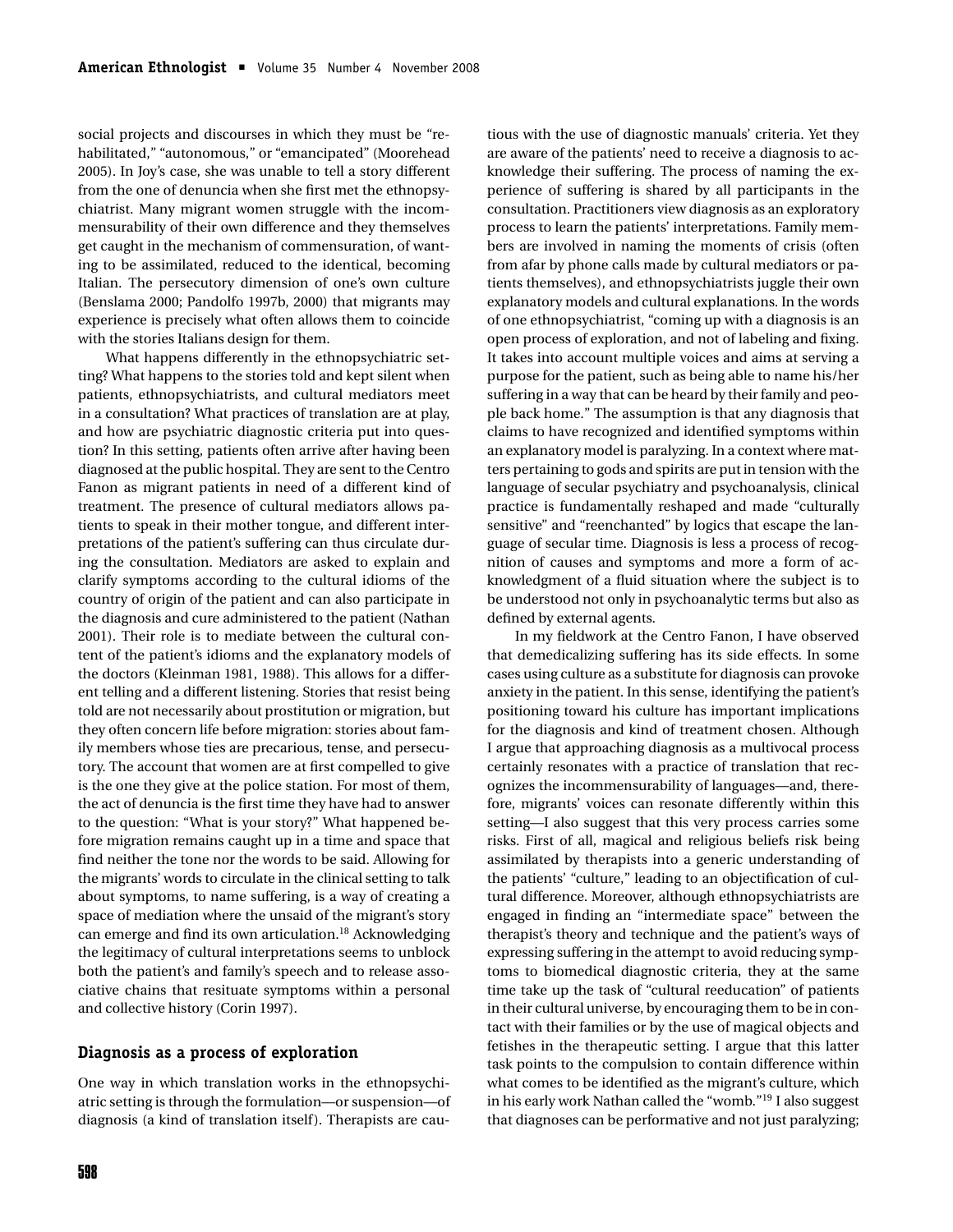social projects and discourses in which they must be "rehabilitated," "autonomous," or "emancipated" (Moorehead 2005). In Joy's case, she was unable to tell a story different from the one of denuncia when she first met the ethnopsychiatrist. Many migrant women struggle with the incommensurability of their own difference and they themselves get caught in the mechanism of commensuration, of wanting to be assimilated, reduced to the identical, becoming Italian. The persecutory dimension of one's own culture (Benslama 2000; Pandolfo 1997b, 2000) that migrants may experience is precisely what often allows them to coincide with the stories Italians design for them.

What happens differently in the ethnopsychiatric setting? What happens to the stories told and kept silent when patients, ethnopsychiatrists, and cultural mediators meet in a consultation? What practices of translation are at play, and how are psychiatric diagnostic criteria put into question? In this setting, patients often arrive after having been diagnosed at the public hospital. They are sent to the Centro Fanon as migrant patients in need of a different kind of treatment. The presence of cultural mediators allows patients to speak in their mother tongue, and different interpretations of the patient's suffering can thus circulate during the consultation. Mediators are asked to explain and clarify symptoms according to the cultural idioms of the country of origin of the patient and can also participate in the diagnosis and cure administered to the patient (Nathan 2001). Their role is to mediate between the cultural content of the patient's idioms and the explanatory models of the doctors (Kleinman 1981, 1988). This allows for a different telling and a different listening. Stories that resist being told are not necessarily about prostitution or migration, but they often concern life before migration: stories about family members whose ties are precarious, tense, and persecutory. The account that women are at first compelled to give is the one they give at the police station. For most of them, the act of denuncia is the first time they have had to answer to the question: "What is your story?" What happened before migration remains caught up in a time and space that find neither the tone nor the words to be said. Allowing for the migrants' words to circulate in the clinical setting to talk about symptoms, to name suffering, is a way of creating a space of mediation where the unsaid of the migrant's story can emerge and find its own articulation.<sup>18</sup> Acknowledging the legitimacy of cultural interpretations seems to unblock both the patient's and family's speech and to release associative chains that resituate symptoms within a personal and collective history (Corin 1997).

# **Diagnosis as a process of exploration**

One way in which translation works in the ethnopsychiatric setting is through the formulation—or suspension—of diagnosis (a kind of translation itself). Therapists are cautious with the use of diagnostic manuals' criteria. Yet they are aware of the patients' need to receive a diagnosis to acknowledge their suffering. The process of naming the experience of suffering is shared by all participants in the consultation. Practitioners view diagnosis as an exploratory process to learn the patients' interpretations. Family members are involved in naming the moments of crisis (often from afar by phone calls made by cultural mediators or patients themselves), and ethnopsychiatrists juggle their own explanatory models and cultural explanations. In the words of one ethnopsychiatrist, "coming up with a diagnosis is an open process of exploration, and not of labeling and fixing. It takes into account multiple voices and aims at serving a purpose for the patient, such as being able to name his/her suffering in a way that can be heard by their family and people back home." The assumption is that any diagnosis that claims to have recognized and identified symptoms within an explanatory model is paralyzing. In a context where matters pertaining to gods and spirits are put in tension with the language of secular psychiatry and psychoanalysis, clinical practice is fundamentally reshaped and made "culturally sensitive" and "reenchanted" by logics that escape the language of secular time. Diagnosis is less a process of recognition of causes and symptoms and more a form of acknowledgment of a fluid situation where the subject is to be understood not only in psychoanalytic terms but also as defined by external agents.

In my fieldwork at the Centro Fanon, I have observed that demedicalizing suffering has its side effects. In some cases using culture as a substitute for diagnosis can provoke anxiety in the patient. In this sense, identifying the patient's positioning toward his culture has important implications for the diagnosis and kind of treatment chosen. Although I argue that approaching diagnosis as a multivocal process certainly resonates with a practice of translation that recognizes the incommensurability of languages—and, therefore, migrants' voices can resonate differently within this setting—I also suggest that this very process carries some risks. First of all, magical and religious beliefs risk being assimilated by therapists into a generic understanding of the patients' "culture," leading to an objectification of cultural difference. Moreover, although ethnopsychiatrists are engaged in finding an "intermediate space" between the therapist's theory and technique and the patient's ways of expressing suffering in the attempt to avoid reducing symptoms to biomedical diagnostic criteria, they at the same time take up the task of "cultural reeducation" of patients in their cultural universe, by encouraging them to be in contact with their families or by the use of magical objects and fetishes in the therapeutic setting. I argue that this latter task points to the compulsion to contain difference within what comes to be identified as the migrant's culture, which in his early work Nathan called the "womb."<sup>19</sup> I also suggest that diagnoses can be performative and not just paralyzing;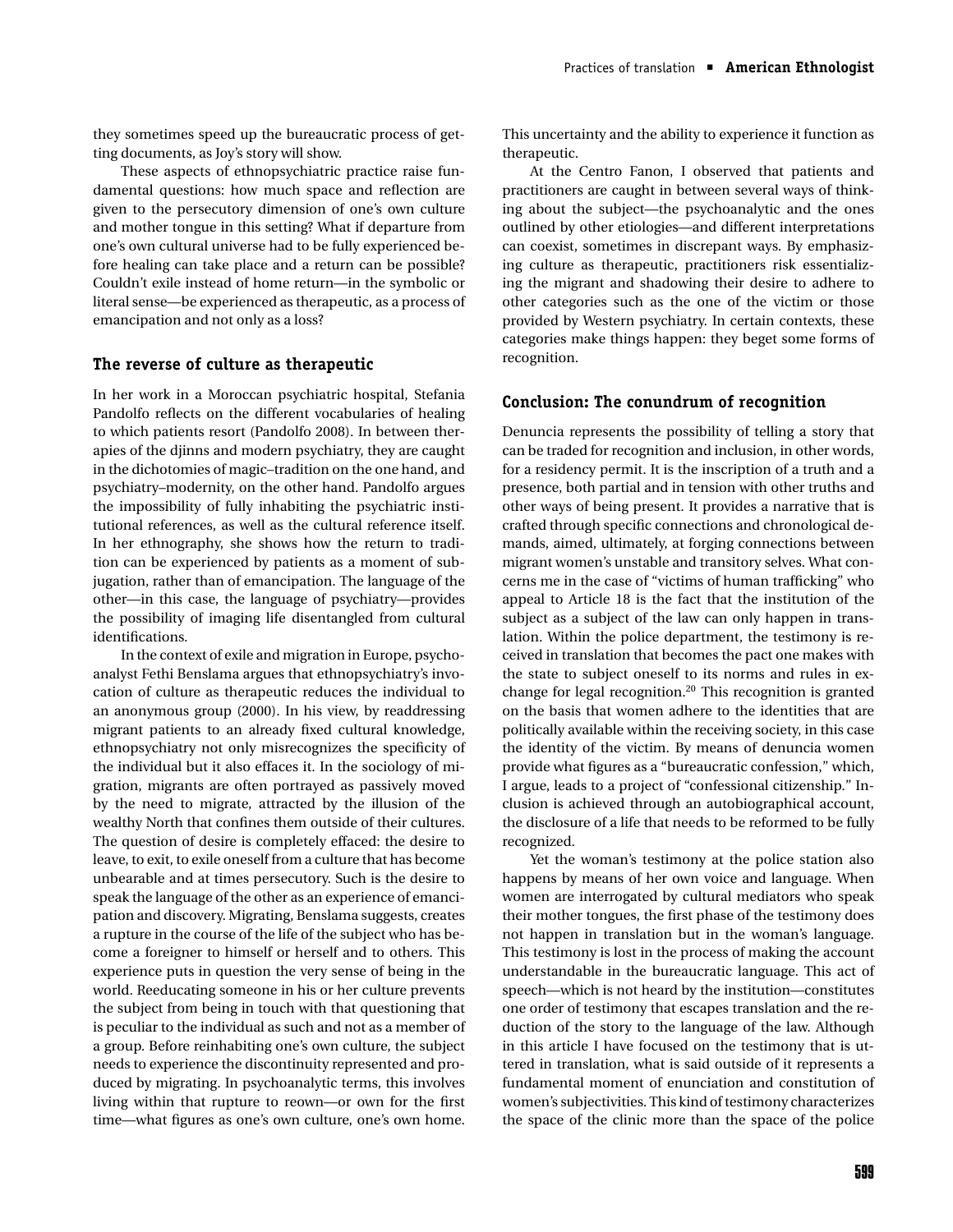they sometimes speed up the bureaucratic process of getting documents, as Joy's story will show.

These aspects of ethnopsychiatric practice raise fundamental questions: how much space and reflection are given to the persecutory dimension of one's own culture and mother tongue in this setting? What if departure from one's own cultural universe had to be fully experienced before healing can take place and a return can be possible? Couldn't exile instead of home return—in the symbolic or literal sense—be experienced as therapeutic, as a process of emancipation and not only as a loss?

#### **The reverse of culture as therapeutic**

In her work in a Moroccan psychiatric hospital, Stefania Pandolfo reflects on the different vocabularies of healing to which patients resort (Pandolfo 2008). In between therapies of the djinns and modern psychiatry, they are caught in the dichotomies of magic–tradition on the one hand, and psychiatry–modernity, on the other hand. Pandolfo argues the impossibility of fully inhabiting the psychiatric institutional references, as well as the cultural reference itself. In her ethnography, she shows how the return to tradition can be experienced by patients as a moment of subjugation, rather than of emancipation. The language of the other—in this case, the language of psychiatry—provides the possibility of imaging life disentangled from cultural identifications.

In the context of exile and migration in Europe, psychoanalyst Fethi Benslama argues that ethnopsychiatry's invocation of culture as therapeutic reduces the individual to an anonymous group (2000). In his view, by readdressing migrant patients to an already fixed cultural knowledge, ethnopsychiatry not only misrecognizes the specificity of the individual but it also effaces it. In the sociology of migration, migrants are often portrayed as passively moved by the need to migrate, attracted by the illusion of the wealthy North that confines them outside of their cultures. The question of desire is completely effaced: the desire to leave, to exit, to exile oneself from a culture that has become unbearable and at times persecutory. Such is the desire to speak the language of the other as an experience of emancipation and discovery. Migrating, Benslama suggests, creates a rupture in the course of the life of the subject who has become a foreigner to himself or herself and to others. This experience puts in question the very sense of being in the world. Reeducating someone in his or her culture prevents the subject from being in touch with that questioning that is peculiar to the individual as such and not as a member of a group. Before reinhabiting one's own culture, the subject needs to experience the discontinuity represented and produced by migrating. In psychoanalytic terms, this involves living within that rupture to reown—or own for the first time—what figures as one's own culture, one's own home.

This uncertainty and the ability to experience it function as therapeutic.

At the Centro Fanon, I observed that patients and practitioners are caught in between several ways of thinking about the subject—the psychoanalytic and the ones outlined by other etiologies—and different interpretations can coexist, sometimes in discrepant ways. By emphasizing culture as therapeutic, practitioners risk essentializing the migrant and shadowing their desire to adhere to other categories such as the one of the victim or those provided by Western psychiatry. In certain contexts, these categories make things happen: they beget some forms of recognition.

### **Conclusion: The conundrum of recognition**

Denuncia represents the possibility of telling a story that can be traded for recognition and inclusion, in other words, for a residency permit. It is the inscription of a truth and a presence, both partial and in tension with other truths and other ways of being present. It provides a narrative that is crafted through specific connections and chronological demands, aimed, ultimately, at forging connections between migrant women's unstable and transitory selves. What concerns me in the case of "victims of human trafficking" who appeal to Article 18 is the fact that the institution of the subject as a subject of the law can only happen in translation. Within the police department, the testimony is received in translation that becomes the pact one makes with the state to subject oneself to its norms and rules in exchange for legal recognition.20 This recognition is granted on the basis that women adhere to the identities that are politically available within the receiving society, in this case the identity of the victim. By means of denuncia women provide what figures as a "bureaucratic confession," which, I argue, leads to a project of "confessional citizenship." Inclusion is achieved through an autobiographical account, the disclosure of a life that needs to be reformed to be fully recognized.

Yet the woman's testimony at the police station also happens by means of her own voice and language. When women are interrogated by cultural mediators who speak their mother tongues, the first phase of the testimony does not happen in translation but in the woman's language. This testimony is lost in the process of making the account understandable in the bureaucratic language. This act of speech—which is not heard by the institution—constitutes one order of testimony that escapes translation and the reduction of the story to the language of the law. Although in this article I have focused on the testimony that is uttered in translation, what is said outside of it represents a fundamental moment of enunciation and constitution of women's subjectivities. This kind of testimony characterizes the space of the clinic more than the space of the police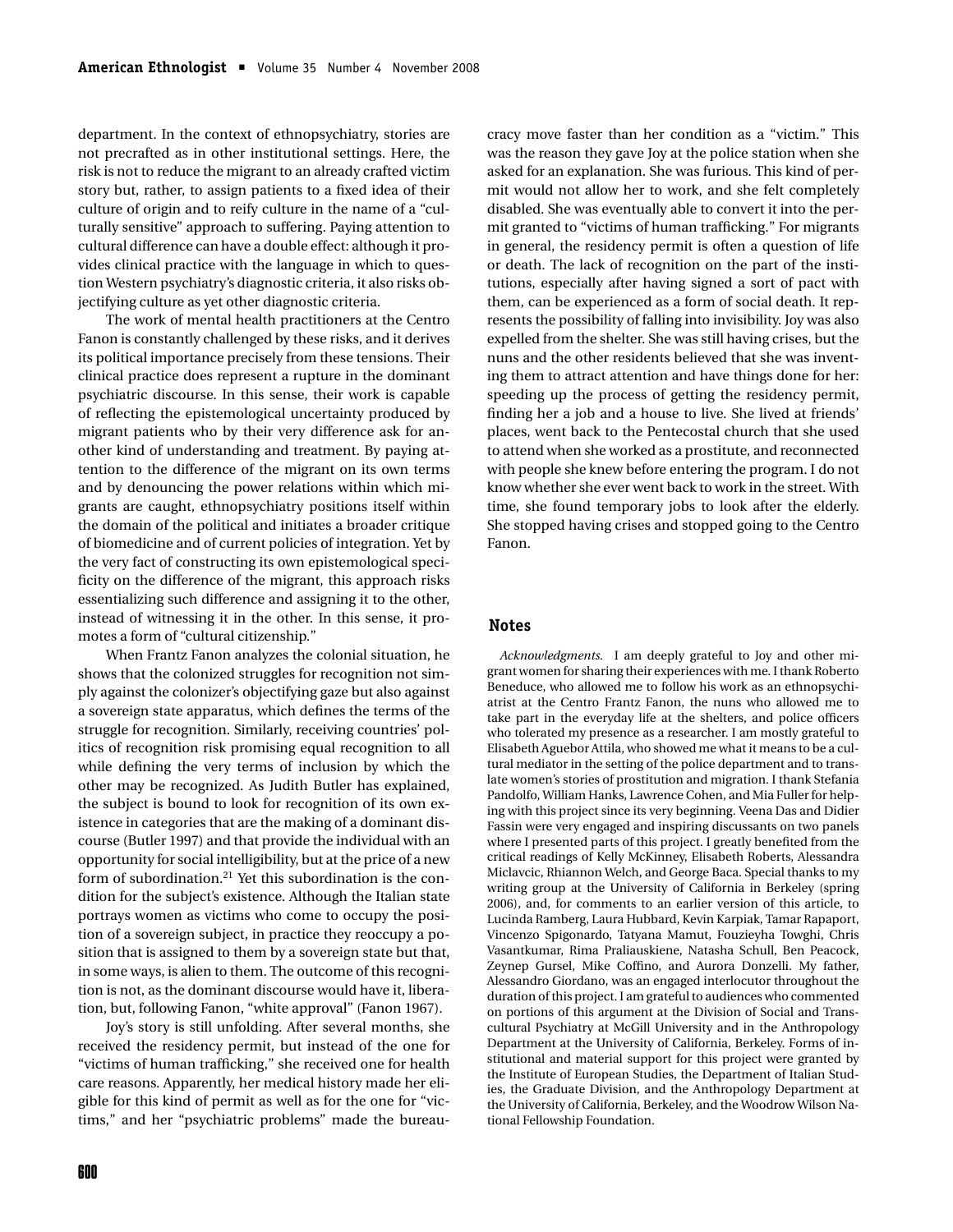department. In the context of ethnopsychiatry, stories are not precrafted as in other institutional settings. Here, the risk is not to reduce the migrant to an already crafted victim story but, rather, to assign patients to a fixed idea of their culture of origin and to reify culture in the name of a "culturally sensitive" approach to suffering. Paying attention to cultural difference can have a double effect: although it provides clinical practice with the language in which to question Western psychiatry's diagnostic criteria, it also risks objectifying culture as yet other diagnostic criteria.

The work of mental health practitioners at the Centro Fanon is constantly challenged by these risks, and it derives its political importance precisely from these tensions. Their clinical practice does represent a rupture in the dominant psychiatric discourse. In this sense, their work is capable of reflecting the epistemological uncertainty produced by migrant patients who by their very difference ask for another kind of understanding and treatment. By paying attention to the difference of the migrant on its own terms and by denouncing the power relations within which migrants are caught, ethnopsychiatry positions itself within the domain of the political and initiates a broader critique of biomedicine and of current policies of integration. Yet by the very fact of constructing its own epistemological specificity on the difference of the migrant, this approach risks essentializing such difference and assigning it to the other, instead of witnessing it in the other. In this sense, it promotes a form of "cultural citizenship."

When Frantz Fanon analyzes the colonial situation, he shows that the colonized struggles for recognition not simply against the colonizer's objectifying gaze but also against a sovereign state apparatus, which defines the terms of the struggle for recognition. Similarly, receiving countries' politics of recognition risk promising equal recognition to all while defining the very terms of inclusion by which the other may be recognized. As Judith Butler has explained, the subject is bound to look for recognition of its own existence in categories that are the making of a dominant discourse (Butler 1997) and that provide the individual with an opportunity for social intelligibility, but at the price of a new form of subordination.<sup>21</sup> Yet this subordination is the condition for the subject's existence. Although the Italian state portrays women as victims who come to occupy the position of a sovereign subject, in practice they reoccupy a position that is assigned to them by a sovereign state but that, in some ways, is alien to them. The outcome of this recognition is not, as the dominant discourse would have it, liberation, but, following Fanon, "white approval" (Fanon 1967).

Joy's story is still unfolding. After several months, she received the residency permit, but instead of the one for "victims of human trafficking," she received one for health care reasons. Apparently, her medical history made her eligible for this kind of permit as well as for the one for "victims," and her "psychiatric problems" made the bureaucracy move faster than her condition as a "victim." This was the reason they gave Joy at the police station when she asked for an explanation. She was furious. This kind of permit would not allow her to work, and she felt completely disabled. She was eventually able to convert it into the permit granted to "victims of human trafficking." For migrants in general, the residency permit is often a question of life or death. The lack of recognition on the part of the institutions, especially after having signed a sort of pact with them, can be experienced as a form of social death. It represents the possibility of falling into invisibility. Joy was also expelled from the shelter. She was still having crises, but the nuns and the other residents believed that she was inventing them to attract attention and have things done for her: speeding up the process of getting the residency permit, finding her a job and a house to live. She lived at friends' places, went back to the Pentecostal church that she used to attend when she worked as a prostitute, and reconnected with people she knew before entering the program. I do not know whether she ever went back to work in the street. With time, she found temporary jobs to look after the elderly. She stopped having crises and stopped going to the Centro Fanon.

## **Notes**

*Acknowledgments.* I am deeply grateful to Joy and other migrant women for sharing their experiences with me. I thank Roberto Beneduce, who allowed me to follow his work as an ethnopsychiatrist at the Centro Frantz Fanon, the nuns who allowed me to take part in the everyday life at the shelters, and police officers who tolerated my presence as a researcher. I am mostly grateful to Elisabeth Aguebor Attila, who showed me what it means to be a cultural mediator in the setting of the police department and to translate women's stories of prostitution and migration. I thank Stefania Pandolfo, William Hanks, Lawrence Cohen, and Mia Fuller for helping with this project since its very beginning. Veena Das and Didier Fassin were very engaged and inspiring discussants on two panels where I presented parts of this project. I greatly benefited from the critical readings of Kelly McKinney, Elisabeth Roberts, Alessandra Miclavcic, Rhiannon Welch, and George Baca. Special thanks to my writing group at the University of California in Berkeley (spring 2006), and, for comments to an earlier version of this article, to Lucinda Ramberg, Laura Hubbard, Kevin Karpiak, Tamar Rapaport, Vincenzo Spigonardo, Tatyana Mamut, Fouzieyha Towghi, Chris Vasantkumar, Rima Praliauskiene, Natasha Schull, Ben Peacock, Zeynep Gursel, Mike Coffino, and Aurora Donzelli. My father, Alessandro Giordano, was an engaged interlocutor throughout the duration of this project. I am grateful to audiences who commented on portions of this argument at the Division of Social and Transcultural Psychiatry at McGill University and in the Anthropology Department at the University of California, Berkeley. Forms of institutional and material support for this project were granted by the Institute of European Studies, the Department of Italian Studies, the Graduate Division, and the Anthropology Department at the University of California, Berkeley, and the Woodrow Wilson National Fellowship Foundation.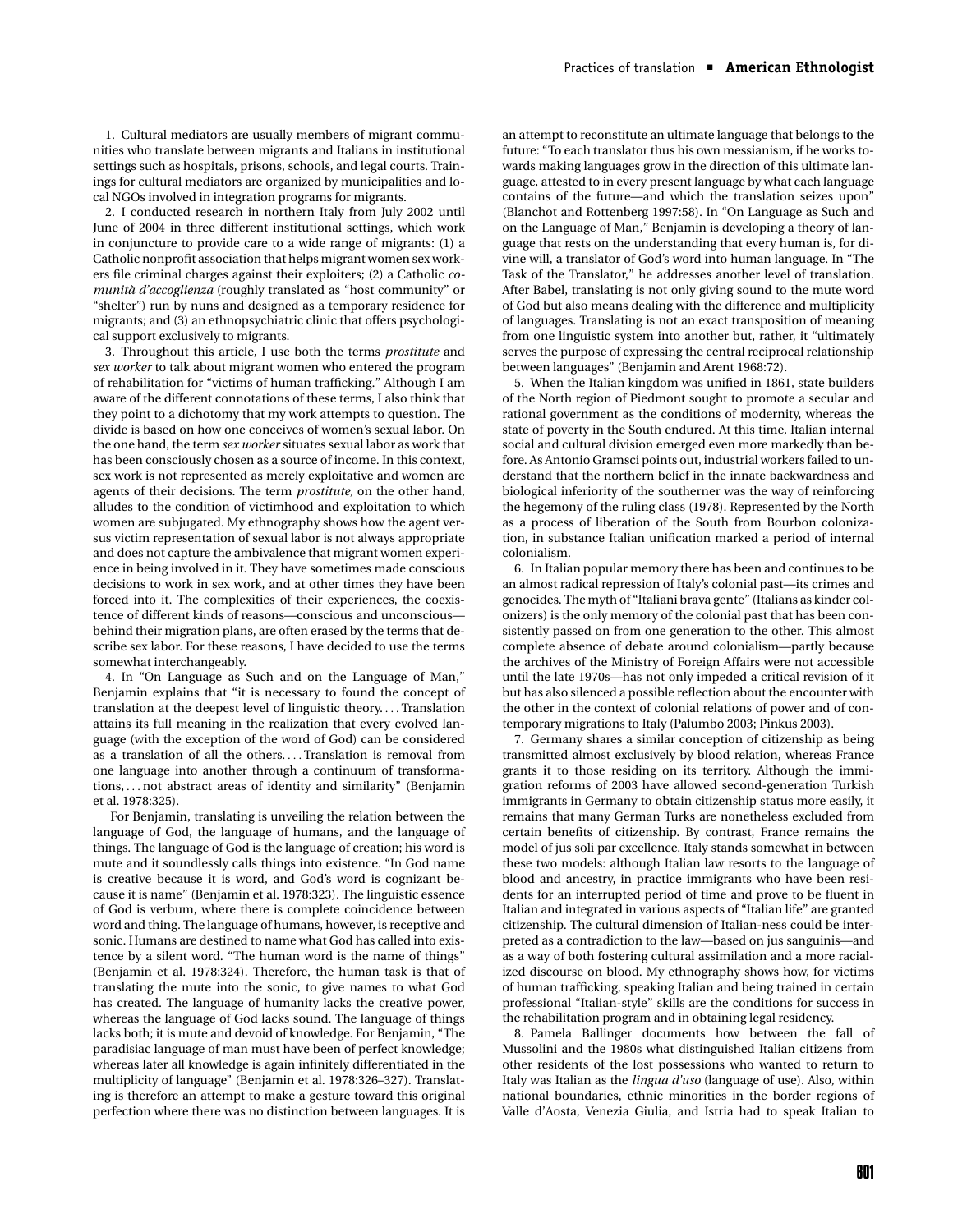1. Cultural mediators are usually members of migrant communities who translate between migrants and Italians in institutional settings such as hospitals, prisons, schools, and legal courts. Trainings for cultural mediators are organized by municipalities and local NGOs involved in integration programs for migrants.

2. I conducted research in northern Italy from July 2002 until June of 2004 in three different institutional settings, which work in conjuncture to provide care to a wide range of migrants: (1) a Catholic nonprofit association that helps migrant women sex workers file criminal charges against their exploiters; (2) a Catholic *comunità d'accoglienza* (roughly translated as "host community" or "shelter") run by nuns and designed as a temporary residence for migrants; and (3) an ethnopsychiatric clinic that offers psychological support exclusively to migrants.

3. Throughout this article, I use both the terms *prostitute* and *sex worker* to talk about migrant women who entered the program of rehabilitation for "victims of human trafficking." Although I am aware of the different connotations of these terms, I also think that they point to a dichotomy that my work attempts to question. The divide is based on how one conceives of women's sexual labor. On the one hand, the term *sex worker* situates sexual labor as work that has been consciously chosen as a source of income. In this context, sex work is not represented as merely exploitative and women are agents of their decisions. The term *prostitute,* on the other hand, alludes to the condition of victimhood and exploitation to which women are subjugated. My ethnography shows how the agent versus victim representation of sexual labor is not always appropriate and does not capture the ambivalence that migrant women experience in being involved in it. They have sometimes made conscious decisions to work in sex work, and at other times they have been forced into it. The complexities of their experiences, the coexistence of different kinds of reasons—conscious and unconscious behind their migration plans, are often erased by the terms that describe sex labor. For these reasons, I have decided to use the terms somewhat interchangeably.

4. In "On Language as Such and on the Language of Man," Benjamin explains that "it is necessary to found the concept of translation at the deepest level of linguistic theory. ... Translation attains its full meaning in the realization that every evolved language (with the exception of the word of God) can be considered as a translation of all the others. ... Translation is removal from one language into another through a continuum of transformations, ... not abstract areas of identity and similarity" (Benjamin et al. 1978:325).

For Benjamin, translating is unveiling the relation between the language of God, the language of humans, and the language of things. The language of God is the language of creation; his word is mute and it soundlessly calls things into existence. "In God name is creative because it is word, and God's word is cognizant because it is name" (Benjamin et al. 1978:323). The linguistic essence of God is verbum, where there is complete coincidence between word and thing. The language of humans, however, is receptive and sonic. Humans are destined to name what God has called into existence by a silent word. "The human word is the name of things" (Benjamin et al. 1978:324). Therefore, the human task is that of translating the mute into the sonic, to give names to what God has created. The language of humanity lacks the creative power, whereas the language of God lacks sound. The language of things lacks both; it is mute and devoid of knowledge. For Benjamin, "The paradisiac language of man must have been of perfect knowledge; whereas later all knowledge is again infinitely differentiated in the multiplicity of language" (Benjamin et al. 1978:326–327). Translating is therefore an attempt to make a gesture toward this original perfection where there was no distinction between languages. It is an attempt to reconstitute an ultimate language that belongs to the future: "To each translator thus his own messianism, if he works towards making languages grow in the direction of this ultimate language, attested to in every present language by what each language contains of the future—and which the translation seizes upon" (Blanchot and Rottenberg 1997:58). In "On Language as Such and on the Language of Man," Benjamin is developing a theory of language that rests on the understanding that every human is, for divine will, a translator of God's word into human language. In "The Task of the Translator," he addresses another level of translation. After Babel, translating is not only giving sound to the mute word of God but also means dealing with the difference and multiplicity of languages. Translating is not an exact transposition of meaning from one linguistic system into another but, rather, it "ultimately serves the purpose of expressing the central reciprocal relationship between languages" (Benjamin and Arent 1968:72).

5. When the Italian kingdom was unified in 1861, state builders of the North region of Piedmont sought to promote a secular and rational government as the conditions of modernity, whereas the state of poverty in the South endured. At this time, Italian internal social and cultural division emerged even more markedly than before. As Antonio Gramsci points out, industrial workers failed to understand that the northern belief in the innate backwardness and biological inferiority of the southerner was the way of reinforcing the hegemony of the ruling class (1978). Represented by the North as a process of liberation of the South from Bourbon colonization, in substance Italian unification marked a period of internal colonialism.

6. In Italian popular memory there has been and continues to be an almost radical repression of Italy's colonial past—its crimes and genocides. The myth of "Italiani brava gente" (Italians as kinder colonizers) is the only memory of the colonial past that has been consistently passed on from one generation to the other. This almost complete absence of debate around colonialism—partly because the archives of the Ministry of Foreign Affairs were not accessible until the late 1970s—has not only impeded a critical revision of it but has also silenced a possible reflection about the encounter with the other in the context of colonial relations of power and of contemporary migrations to Italy (Palumbo 2003; Pinkus 2003).

7. Germany shares a similar conception of citizenship as being transmitted almost exclusively by blood relation, whereas France grants it to those residing on its territory. Although the immigration reforms of 2003 have allowed second-generation Turkish immigrants in Germany to obtain citizenship status more easily, it remains that many German Turks are nonetheless excluded from certain benefits of citizenship. By contrast, France remains the model of jus soli par excellence. Italy stands somewhat in between these two models: although Italian law resorts to the language of blood and ancestry, in practice immigrants who have been residents for an interrupted period of time and prove to be fluent in Italian and integrated in various aspects of "Italian life" are granted citizenship. The cultural dimension of Italian-ness could be interpreted as a contradiction to the law—based on jus sanguinis—and as a way of both fostering cultural assimilation and a more racialized discourse on blood. My ethnography shows how, for victims of human trafficking, speaking Italian and being trained in certain professional "Italian-style" skills are the conditions for success in the rehabilitation program and in obtaining legal residency.

8. Pamela Ballinger documents how between the fall of Mussolini and the 1980s what distinguished Italian citizens from other residents of the lost possessions who wanted to return to Italy was Italian as the *lingua d'uso* (language of use). Also, within national boundaries, ethnic minorities in the border regions of Valle d'Aosta, Venezia Giulia, and Istria had to speak Italian to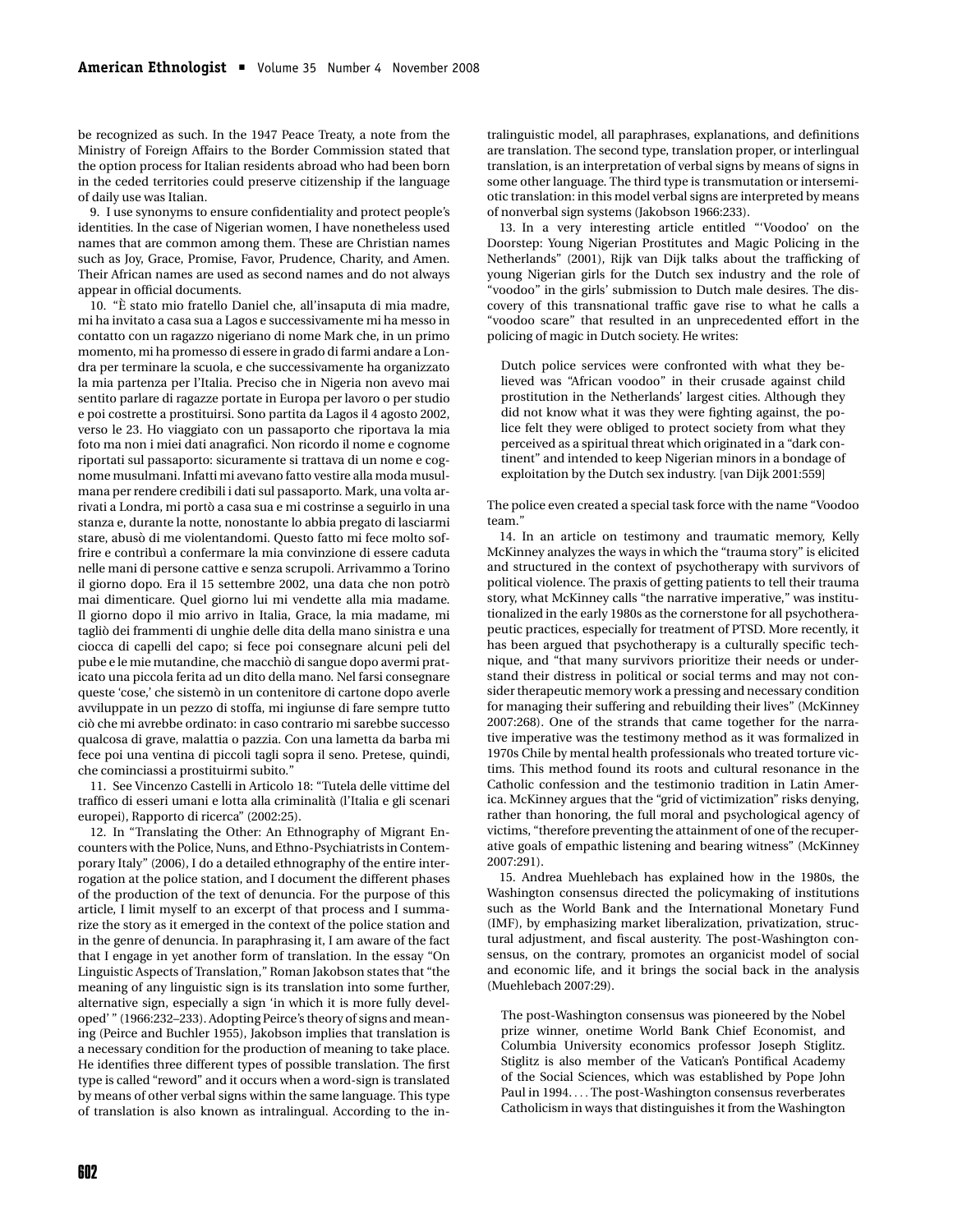be recognized as such. In the 1947 Peace Treaty, a note from the Ministry of Foreign Affairs to the Border Commission stated that the option process for Italian residents abroad who had been born in the ceded territories could preserve citizenship if the language of daily use was Italian.

9. I use synonyms to ensure confidentiality and protect people's identities. In the case of Nigerian women, I have nonetheless used names that are common among them. These are Christian names such as Joy, Grace, Promise, Favor, Prudence, Charity, and Amen. Their African names are used as second names and do not always appear in official documents.

10. "E stato mio fratello Daniel che, all'insaputa di mia madre, ` mi ha invitato a casa sua a Lagos e successivamente mi ha messo in contatto con un ragazzo nigeriano di nome Mark che, in un primo momento, mi ha promesso di essere in grado di farmi andare a Londra per terminare la scuola, e che successivamente ha organizzato la mia partenza per l'Italia. Preciso che in Nigeria non avevo mai sentito parlare di ragazze portate in Europa per lavoro o per studio e poi costrette a prostituirsi. Sono partita da Lagos il 4 agosto 2002, verso le 23. Ho viaggiato con un passaporto che riportava la mia foto ma non i miei dati anagrafici. Non ricordo il nome e cognome riportati sul passaporto: sicuramente si trattava di un nome e cognome musulmani. Infatti mi avevano fatto vestire alla moda musulmana per rendere credibili i dati sul passaporto. Mark, una volta arrivati a Londra, mi porto a casa sua e mi costrinse a seguirlo in una ` stanza e, durante la notte, nonostante lo abbia pregato di lasciarmi stare, abusò di me violentandomi. Questo fatto mi fece molto soffrire e contribuì a confermare la mia convinzione di essere caduta nelle mani di persone cattive e senza scrupoli. Arrivammo a Torino il giorno dopo. Era il 15 settembre 2002, una data che non potro` mai dimenticare. Quel giorno lui mi vendette alla mia madame. Il giorno dopo il mio arrivo in Italia, Grace, la mia madame, mi taglio dei frammenti di unghie delle dita della mano sinistra e una ` ciocca di capelli del capo; si fece poi consegnare alcuni peli del pube e le mie mutandine, che macchio di sangue dopo avermi prat- ` icato una piccola ferita ad un dito della mano. Nel farsi consegnare queste 'cose,' che sistemò in un contenitore di cartone dopo averle avviluppate in un pezzo di stoffa, mi ingiunse di fare sempre tutto cio che mi avrebbe ordinato: in caso contrario mi sarebbe successo ` qualcosa di grave, malattia o pazzia. Con una lametta da barba mi fece poi una ventina di piccoli tagli sopra il seno. Pretese, quindi, che cominciassi a prostituirmi subito."

11. See Vincenzo Castelli in Articolo 18: "Tutela delle vittime del traffico di esseri umani e lotta alla criminalita (l'Italia e gli scenari ` europei), Rapporto di ricerca" (2002:25).

12. In "Translating the Other: An Ethnography of Migrant Encounters with the Police, Nuns, and Ethno-Psychiatrists in Contemporary Italy" (2006), I do a detailed ethnography of the entire interrogation at the police station, and I document the different phases of the production of the text of denuncia. For the purpose of this article, I limit myself to an excerpt of that process and I summarize the story as it emerged in the context of the police station and in the genre of denuncia. In paraphrasing it, I am aware of the fact that I engage in yet another form of translation. In the essay "On Linguistic Aspects of Translation," Roman Jakobson states that "the meaning of any linguistic sign is its translation into some further, alternative sign, especially a sign 'in which it is more fully developed' " (1966:232–233). Adopting Peirce's theory of signs and meaning (Peirce and Buchler 1955), Jakobson implies that translation is a necessary condition for the production of meaning to take place. He identifies three different types of possible translation. The first type is called "reword" and it occurs when a word-sign is translated by means of other verbal signs within the same language. This type of translation is also known as intralingual. According to the intralinguistic model, all paraphrases, explanations, and definitions are translation. The second type, translation proper, or interlingual translation, is an interpretation of verbal signs by means of signs in some other language. The third type is transmutation or intersemiotic translation: in this model verbal signs are interpreted by means of nonverbal sign systems (Jakobson 1966:233).

13. In a very interesting article entitled "'Voodoo' on the Doorstep: Young Nigerian Prostitutes and Magic Policing in the Netherlands" (2001), Rijk van Dijk talks about the trafficking of young Nigerian girls for the Dutch sex industry and the role of "voodoo" in the girls' submission to Dutch male desires. The discovery of this transnational traffic gave rise to what he calls a "voodoo scare" that resulted in an unprecedented effort in the policing of magic in Dutch society. He writes:

Dutch police services were confronted with what they believed was "African voodoo" in their crusade against child prostitution in the Netherlands' largest cities. Although they did not know what it was they were fighting against, the police felt they were obliged to protect society from what they perceived as a spiritual threat which originated in a "dark continent" and intended to keep Nigerian minors in a bondage of exploitation by the Dutch sex industry. [van Dijk 2001:559]

The police even created a special task force with the name "Voodoo team."

14. In an article on testimony and traumatic memory, Kelly McKinney analyzes the ways in which the "trauma story" is elicited and structured in the context of psychotherapy with survivors of political violence. The praxis of getting patients to tell their trauma story, what McKinney calls "the narrative imperative," was institutionalized in the early 1980s as the cornerstone for all psychotherapeutic practices, especially for treatment of PTSD. More recently, it has been argued that psychotherapy is a culturally specific technique, and "that many survivors prioritize their needs or understand their distress in political or social terms and may not consider therapeutic memory work a pressing and necessary condition for managing their suffering and rebuilding their lives" (McKinney 2007:268). One of the strands that came together for the narrative imperative was the testimony method as it was formalized in 1970s Chile by mental health professionals who treated torture victims. This method found its roots and cultural resonance in the Catholic confession and the testimonio tradition in Latin America. McKinney argues that the "grid of victimization" risks denying, rather than honoring, the full moral and psychological agency of victims, "therefore preventing the attainment of one of the recuperative goals of empathic listening and bearing witness" (McKinney 2007:291).

15. Andrea Muehlebach has explained how in the 1980s, the Washington consensus directed the policymaking of institutions such as the World Bank and the International Monetary Fund (IMF), by emphasizing market liberalization, privatization, structural adjustment, and fiscal austerity. The post-Washington consensus, on the contrary, promotes an organicist model of social and economic life, and it brings the social back in the analysis (Muehlebach 2007:29).

The post-Washington consensus was pioneered by the Nobel prize winner, onetime World Bank Chief Economist, and Columbia University economics professor Joseph Stiglitz. Stiglitz is also member of the Vatican's Pontifical Academy of the Social Sciences, which was established by Pope John Paul in 1994. ... The post-Washington consensus reverberates Catholicism in ways that distinguishes it from the Washington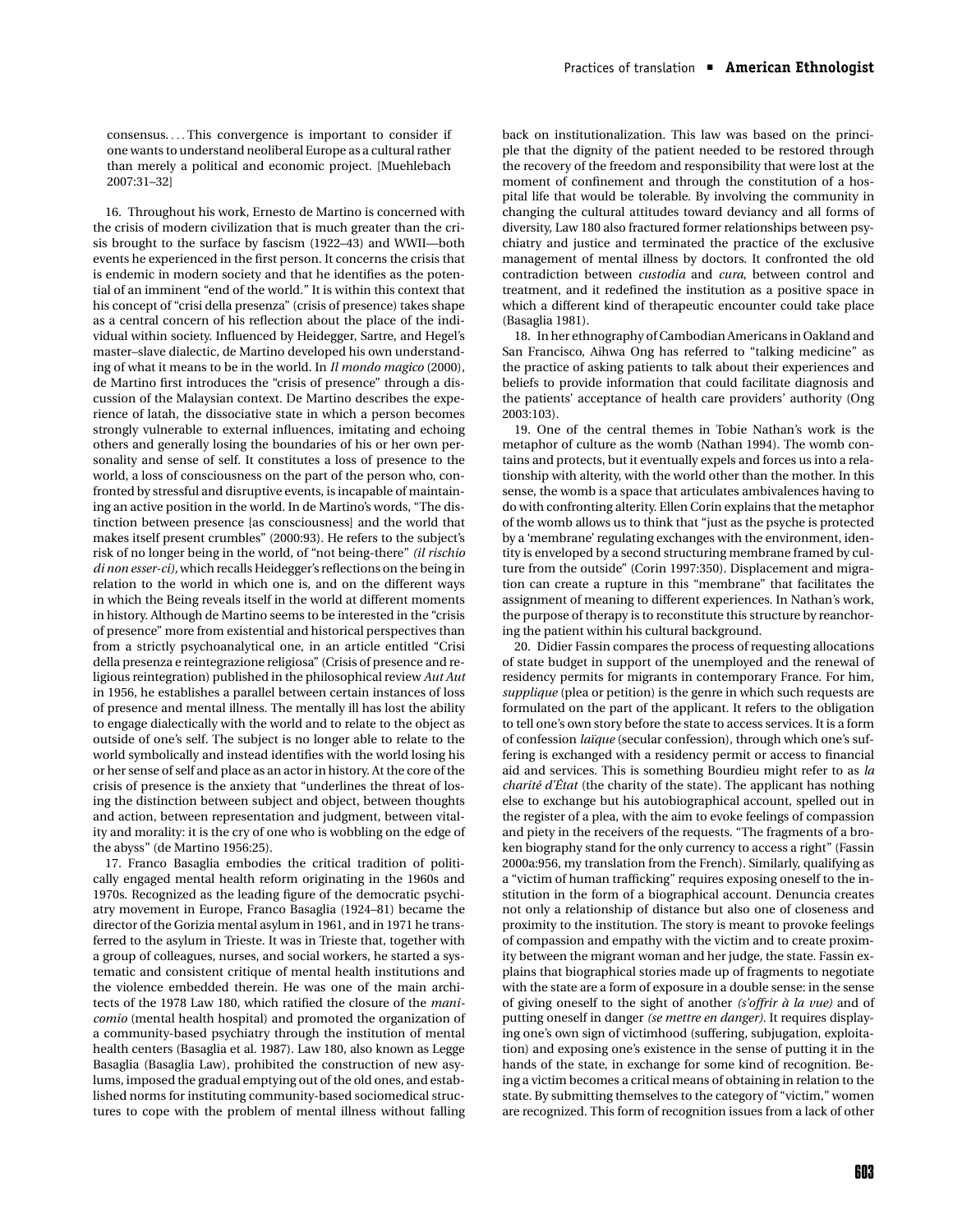consensus. ... This convergence is important to consider if one wants to understand neoliberal Europe as a cultural rather than merely a political and economic project. [Muehlebach 2007:31–32]

16. Throughout his work, Ernesto de Martino is concerned with the crisis of modern civilization that is much greater than the crisis brought to the surface by fascism (1922–43) and WWII—both events he experienced in the first person. It concerns the crisis that is endemic in modern society and that he identifies as the potential of an imminent "end of the world." It is within this context that his concept of "crisi della presenza" (crisis of presence) takes shape as a central concern of his reflection about the place of the individual within society. Influenced by Heidegger, Sartre, and Hegel's master–slave dialectic, de Martino developed his own understanding of what it means to be in the world. In *Il mondo magico* (2000), de Martino first introduces the "crisis of presence" through a discussion of the Malaysian context. De Martino describes the experience of latah, the dissociative state in which a person becomes strongly vulnerable to external influences, imitating and echoing others and generally losing the boundaries of his or her own personality and sense of self. It constitutes a loss of presence to the world, a loss of consciousness on the part of the person who, confronted by stressful and disruptive events, is incapable of maintaining an active position in the world. In de Martino's words, "The distinction between presence [as consciousness] and the world that makes itself present crumbles" (2000:93). He refers to the subject's risk of no longer being in the world, of "not being-there" *(il rischio di non esser-ci),* which recalls Heidegger's reflections on the being in relation to the world in which one is, and on the different ways in which the Being reveals itself in the world at different moments in history. Although de Martino seems to be interested in the "crisis of presence" more from existential and historical perspectives than from a strictly psychoanalytical one, in an article entitled "Crisi della presenza e reintegrazione religiosa" (Crisis of presence and religious reintegration) published in the philosophical review *Aut Aut* in 1956, he establishes a parallel between certain instances of loss of presence and mental illness. The mentally ill has lost the ability to engage dialectically with the world and to relate to the object as outside of one's self. The subject is no longer able to relate to the world symbolically and instead identifies with the world losing his or her sense of self and place as an actor in history. At the core of the crisis of presence is the anxiety that "underlines the threat of losing the distinction between subject and object, between thoughts and action, between representation and judgment, between vitality and morality: it is the cry of one who is wobbling on the edge of the abyss" (de Martino 1956:25).

17. Franco Basaglia embodies the critical tradition of politically engaged mental health reform originating in the 1960s and 1970s. Recognized as the leading figure of the democratic psychiatry movement in Europe, Franco Basaglia (1924–81) became the director of the Gorizia mental asylum in 1961, and in 1971 he transferred to the asylum in Trieste. It was in Trieste that, together with a group of colleagues, nurses, and social workers, he started a systematic and consistent critique of mental health institutions and the violence embedded therein. He was one of the main architects of the 1978 Law 180, which ratified the closure of the *manicomio* (mental health hospital) and promoted the organization of a community-based psychiatry through the institution of mental health centers (Basaglia et al. 1987). Law 180, also known as Legge Basaglia (Basaglia Law), prohibited the construction of new asylums, imposed the gradual emptying out of the old ones, and established norms for instituting community-based sociomedical structures to cope with the problem of mental illness without falling back on institutionalization. This law was based on the principle that the dignity of the patient needed to be restored through the recovery of the freedom and responsibility that were lost at the moment of confinement and through the constitution of a hospital life that would be tolerable. By involving the community in changing the cultural attitudes toward deviancy and all forms of diversity, Law 180 also fractured former relationships between psychiatry and justice and terminated the practice of the exclusive management of mental illness by doctors. It confronted the old contradiction between *custodia* and *cura*, between control and treatment, and it redefined the institution as a positive space in which a different kind of therapeutic encounter could take place (Basaglia 1981).

18. In her ethnography of Cambodian Americans in Oakland and San Francisco, Aihwa Ong has referred to "talking medicine" as the practice of asking patients to talk about their experiences and beliefs to provide information that could facilitate diagnosis and the patients' acceptance of health care providers' authority (Ong 2003:103).

19. One of the central themes in Tobie Nathan's work is the metaphor of culture as the womb (Nathan 1994). The womb contains and protects, but it eventually expels and forces us into a relationship with alterity, with the world other than the mother. In this sense, the womb is a space that articulates ambivalences having to do with confronting alterity. Ellen Corin explains that the metaphor of the womb allows us to think that "just as the psyche is protected by a 'membrane' regulating exchanges with the environment, identity is enveloped by a second structuring membrane framed by culture from the outside" (Corin 1997:350). Displacement and migration can create a rupture in this "membrane" that facilitates the assignment of meaning to different experiences. In Nathan's work, the purpose of therapy is to reconstitute this structure by reanchoring the patient within his cultural background.

20. Didier Fassin compares the process of requesting allocations of state budget in support of the unemployed and the renewal of residency permits for migrants in contemporary France. For him, *supplique* (plea or petition) is the genre in which such requests are formulated on the part of the applicant. It refers to the obligation to tell one's own story before the state to access services. It is a form of confession *la¨ıque* (secular confession), through which one's suffering is exchanged with a residency permit or access to financial aid and services. This is something Bourdieu might refer to as *la charité d'État* (the charity of the state). The applicant has nothing else to exchange but his autobiographical account, spelled out in the register of a plea, with the aim to evoke feelings of compassion and piety in the receivers of the requests. "The fragments of a broken biography stand for the only currency to access a right" (Fassin 2000a:956, my translation from the French). Similarly, qualifying as a "victim of human trafficking" requires exposing oneself to the institution in the form of a biographical account. Denuncia creates not only a relationship of distance but also one of closeness and proximity to the institution. The story is meant to provoke feelings of compassion and empathy with the victim and to create proximity between the migrant woman and her judge, the state. Fassin explains that biographical stories made up of fragments to negotiate with the state are a form of exposure in a double sense: in the sense of giving oneself to the sight of another *(s'offrir a la vue) `* and of putting oneself in danger *(se mettre en danger).* It requires displaying one's own sign of victimhood (suffering, subjugation, exploitation) and exposing one's existence in the sense of putting it in the hands of the state, in exchange for some kind of recognition. Being a victim becomes a critical means of obtaining in relation to the state. By submitting themselves to the category of "victim," women are recognized. This form of recognition issues from a lack of other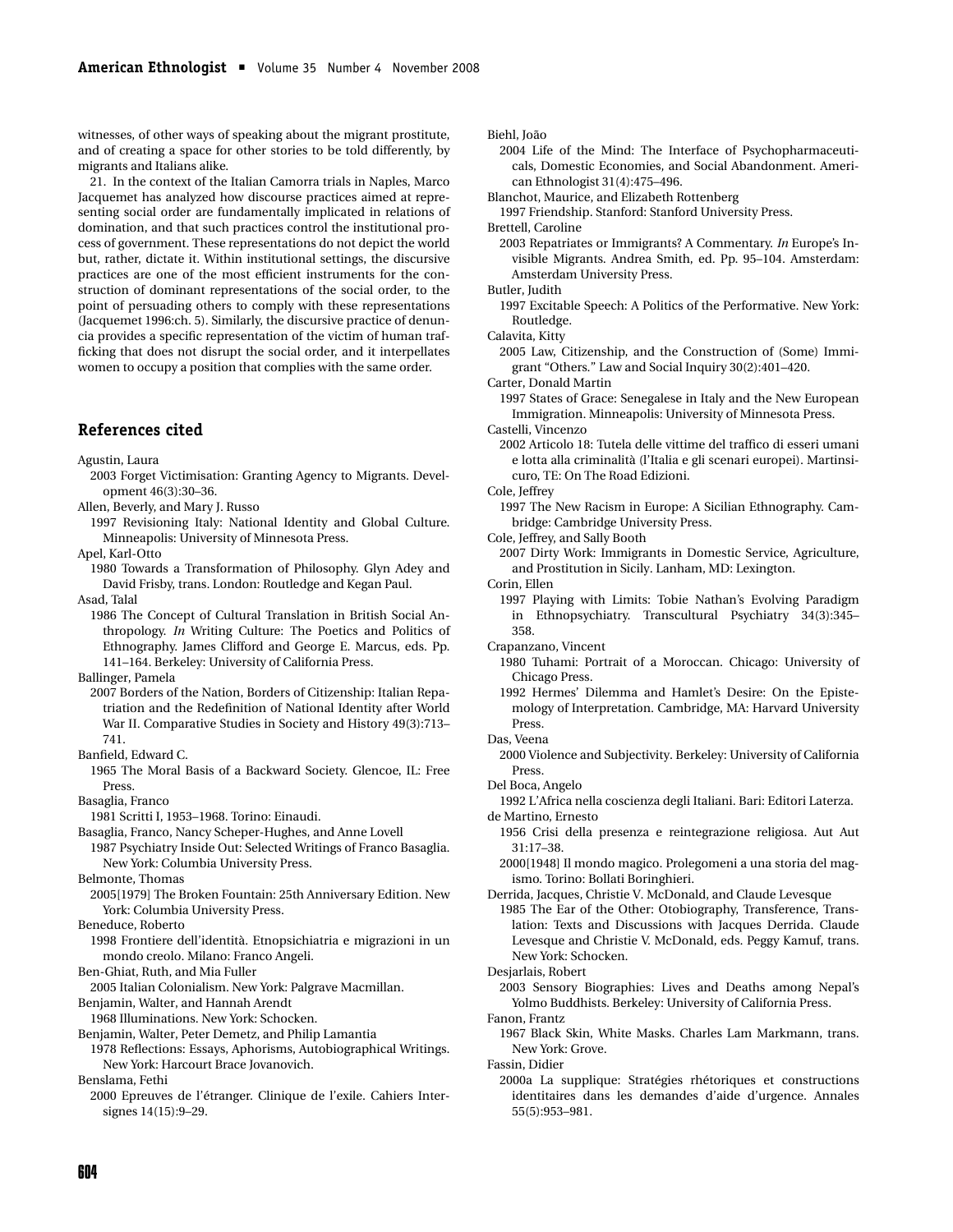witnesses, of other ways of speaking about the migrant prostitute, and of creating a space for other stories to be told differently, by migrants and Italians alike.

21. In the context of the Italian Camorra trials in Naples, Marco Jacquemet has analyzed how discourse practices aimed at representing social order are fundamentally implicated in relations of domination, and that such practices control the institutional process of government. These representations do not depict the world but, rather, dictate it. Within institutional settings, the discursive practices are one of the most efficient instruments for the construction of dominant representations of the social order, to the point of persuading others to comply with these representations (Jacquemet 1996:ch. 5). Similarly, the discursive practice of denuncia provides a specific representation of the victim of human trafficking that does not disrupt the social order, and it interpellates women to occupy a position that complies with the same order.

#### **References cited**

Agustin, Laura

2003 Forget Victimisation: Granting Agency to Migrants. Development 46(3):30–36.

Allen, Beverly, and Mary J. Russo

1997 Revisioning Italy: National Identity and Global Culture. Minneapolis: University of Minnesota Press.

Apel, Karl-Otto

1980 Towards a Transformation of Philosophy. Glyn Adey and David Frisby, trans. London: Routledge and Kegan Paul.

Asad, Talal

1986 The Concept of Cultural Translation in British Social Anthropology. *In* Writing Culture: The Poetics and Politics of Ethnography. James Clifford and George E. Marcus, eds. Pp. 141–164. Berkeley: University of California Press.

Ballinger, Pamela

- 2007 Borders of the Nation, Borders of Citizenship: Italian Repatriation and the Redefinition of National Identity after World War II. Comparative Studies in Society and History 49(3):713– 741.
- Banfield, Edward C.
	- 1965 The Moral Basis of a Backward Society. Glencoe, IL: Free Press.

Basaglia, Franco

1981 Scritti I, 1953–1968. Torino: Einaudi.

Basaglia, Franco, Nancy Scheper-Hughes, and Anne Lovell 1987 Psychiatry Inside Out: Selected Writings of Franco Basaglia.

New York: Columbia University Press.

Belmonte, Thomas

2005[1979] The Broken Fountain: 25th Anniversary Edition. New York: Columbia University Press.

Beneduce, Roberto

1998 Frontiere dell'identita. Etnopsichiatria e migrazioni in un ` mondo creolo. Milano: Franco Angeli.

Ben-Ghiat, Ruth, and Mia Fuller

2005 Italian Colonialism. New York: Palgrave Macmillan.

Benjamin, Walter, and Hannah Arendt 1968 Illuminations. New York: Schocken.

Benjamin, Walter, Peter Demetz, and Philip Lamantia

1978 Reflections: Essays, Aphorisms, Autobiographical Writings. New York: Harcourt Brace Jovanovich.

Benslama, Fethi

2000 Epreuves de l'étranger. Clinique de l'exile. Cahiers Intersignes 14(15):9–29.

Biehl, João

2004 Life of the Mind: The Interface of Psychopharmaceuticals, Domestic Economies, and Social Abandonment. American Ethnologist 31(4):475–496.

Blanchot, Maurice, and Elizabeth Rottenberg

1997 Friendship. Stanford: Stanford University Press.

Brettell, Caroline

2003 Repatriates or Immigrants? A Commentary. *In* Europe's Invisible Migrants. Andrea Smith, ed. Pp. 95–104. Amsterdam: Amsterdam University Press.

Butler, Judith

1997 Excitable Speech: A Politics of the Performative. New York: Routledge.

Calavita, Kitty

- 2005 Law, Citizenship, and the Construction of (Some) Immigrant "Others." Law and Social Inquiry 30(2):401–420.
- Carter, Donald Martin
	- 1997 States of Grace: Senegalese in Italy and the New European Immigration. Minneapolis: University of Minnesota Press.

Castelli, Vincenzo

2002 Articolo 18: Tutela delle vittime del traffico di esseri umani e lotta alla criminalita (l'Italia e gli scenari europei). Martinsi- ` curo, TE: On The Road Edizioni.

Cole, Jeffrey

1997 The New Racism in Europe: A Sicilian Ethnography. Cambridge: Cambridge University Press.

Cole, Jeffrey, and Sally Booth

2007 Dirty Work: Immigrants in Domestic Service, Agriculture, and Prostitution in Sicily. Lanham, MD: Lexington.

- Corin, Ellen
	- 1997 Playing with Limits: Tobie Nathan's Evolving Paradigm in Ethnopsychiatry. Transcultural Psychiatry 34(3):345– 358.
- Crapanzano, Vincent
	- 1980 Tuhami: Portrait of a Moroccan. Chicago: University of Chicago Press.
	- 1992 Hermes' Dilemma and Hamlet's Desire: On the Epistemology of Interpretation. Cambridge, MA: Harvard University Press.

#### Das, Veena

2000 Violence and Subjectivity. Berkeley: University of California Press.

Del Boca, Angelo

- 1992 L'Africa nella coscienza degli Italiani. Bari: Editori Laterza. de Martino, Ernesto
- 1956 Crisi della presenza e reintegrazione religiosa. Aut Aut 31:17–38.
- 2000[1948] Il mondo magico. Prolegomeni a una storia del magismo. Torino: Bollati Boringhieri.

Derrida, Jacques, Christie V. McDonald, and Claude Levesque

1985 The Ear of the Other: Otobiography, Transference, Translation: Texts and Discussions with Jacques Derrida. Claude Levesque and Christie V. McDonald, eds. Peggy Kamuf, trans. New York: Schocken.

Desjarlais, Robert

2003 Sensory Biographies: Lives and Deaths among Nepal's Yolmo Buddhists. Berkeley: University of California Press.

Fanon, Frantz

1967 Black Skin, White Masks. Charles Lam Markmann, trans. New York: Grove.

Fassin, Didier

2000a La supplique: Stratégies rhétoriques et constructions identitaires dans les demandes d'aide d'urgence. Annales 55(5):953–981.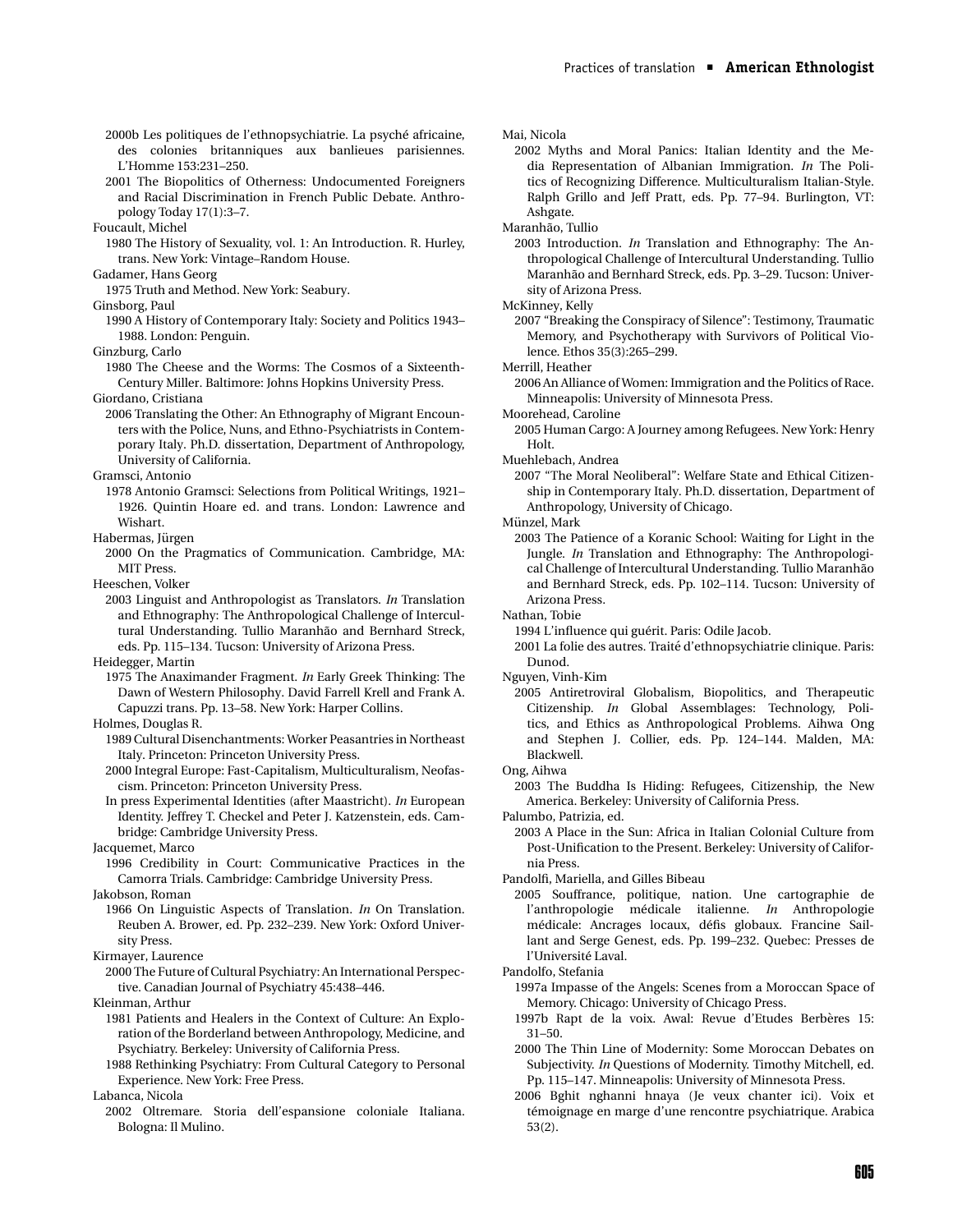- 2000b Les politiques de l'ethnopsychiatrie. La psyche africaine, ´ des colonies britanniques aux banlieues parisiennes. L'Homme 153:231–250.
- 2001 The Biopolitics of Otherness: Undocumented Foreigners and Racial Discrimination in French Public Debate. Anthropology Today 17(1):3–7.

Foucault, Michel

- 1980 The History of Sexuality, vol. 1: An Introduction. R. Hurley, trans. New York: Vintage–Random House.
- Gadamer, Hans Georg

1975 Truth and Method. New York: Seabury.

- Ginsborg, Paul
- 1990 A History of Contemporary Italy: Society and Politics 1943– 1988. London: Penguin.

Ginzburg, Carlo

- 1980 The Cheese and the Worms: The Cosmos of a Sixteenth-Century Miller. Baltimore: Johns Hopkins University Press. Giordano, Cristiana
- 2006 Translating the Other: An Ethnography of Migrant Encounters with the Police, Nuns, and Ethno-Psychiatrists in Contemporary Italy. Ph.D. dissertation, Department of Anthropology, University of California.
- Gramsci, Antonio
- 1978 Antonio Gramsci: Selections from Political Writings, 1921– 1926. Quintin Hoare ed. and trans. London: Lawrence and Wishart.

Habermas, Jürgen

2000 On the Pragmatics of Communication. Cambridge, MA: MIT Press.

Heeschen, Volker

2003 Linguist and Anthropologist as Translators. *In* Translation and Ethnography: The Anthropological Challenge of Intercultural Understanding. Tullio Maranhão and Bernhard Streck, eds. Pp. 115–134. Tucson: University of Arizona Press.

Heidegger, Martin

1975 The Anaximander Fragment. *In* Early Greek Thinking: The Dawn of Western Philosophy. David Farrell Krell and Frank A. Capuzzi trans. Pp. 13–58. New York: Harper Collins.

Holmes, Douglas R.

- 1989 Cultural Disenchantments: Worker Peasantries in Northeast Italy. Princeton: Princeton University Press.
- 2000 Integral Europe: Fast-Capitalism, Multiculturalism, Neofascism. Princeton: Princeton University Press.
- In press Experimental Identities (after Maastricht). *In* European Identity. Jeffrey T. Checkel and Peter J. Katzenstein, eds. Cambridge: Cambridge University Press.

Jacquemet, Marco

1996 Credibility in Court: Communicative Practices in the Camorra Trials. Cambridge: Cambridge University Press.

Jakobson, Roman

- 1966 On Linguistic Aspects of Translation. *In* On Translation. Reuben A. Brower, ed. Pp. 232–239. New York: Oxford University Press.
- Kirmayer, Laurence

2000 The Future of Cultural Psychiatry: An International Perspective. Canadian Journal of Psychiatry 45:438–446.

Kleinman, Arthur

- 1981 Patients and Healers in the Context of Culture: An Exploration of the Borderland between Anthropology, Medicine, and Psychiatry. Berkeley: University of California Press.
- 1988 Rethinking Psychiatry: From Cultural Category to Personal Experience. New York: Free Press.

Labanca, Nicola

2002 Oltremare. Storia dell'espansione coloniale Italiana. Bologna: Il Mulino.

Mai, Nicola

2002 Myths and Moral Panics: Italian Identity and the Media Representation of Albanian Immigration. *In* The Politics of Recognizing Difference. Multiculturalism Italian-Style. Ralph Grillo and Jeff Pratt, eds. Pp. 77–94. Burlington, VT: Ashgate.

Maranhão, Tullio

2003 Introduction. *In* Translation and Ethnography: The Anthropological Challenge of Intercultural Understanding. Tullio Maranhão and Bernhard Streck, eds. Pp. 3-29. Tucson: University of Arizona Press.

McKinney, Kelly

2007 "Breaking the Conspiracy of Silence": Testimony, Traumatic Memory, and Psychotherapy with Survivors of Political Violence. Ethos 35(3):265–299.

Merrill, Heather

2006 An Alliance of Women: Immigration and the Politics of Race. Minneapolis: University of Minnesota Press.

Moorehead, Caroline

- 2005 Human Cargo: A Journey among Refugees. New York: Henry Holt.
- Muehlebach, Andrea

2007 "The Moral Neoliberal": Welfare State and Ethical Citizenship in Contemporary Italy. Ph.D. dissertation, Department of Anthropology, University of Chicago.

Münzel, Mark

2003 The Patience of a Koranic School: Waiting for Light in the Jungle. *In* Translation and Ethnography: The Anthropological Challenge of Intercultural Understanding. Tullio Maranhão and Bernhard Streck, eds. Pp. 102–114. Tucson: University of Arizona Press.

Nathan, Tobie

1994 L'influence qui guérit. Paris: Odile Jacob.

2001 La folie des autres. Traite d'ethnopsychiatrie clinique. Paris: ´ Dunod.

Nguyen, Vinh-Kim

- 2005 Antiretroviral Globalism, Biopolitics, and Therapeutic Citizenship. *In* Global Assemblages: Technology, Politics, and Ethics as Anthropological Problems. Aihwa Ong and Stephen J. Collier, eds. Pp. 124–144. Malden, MA: Blackwell.
- Ong, Aihwa
	- 2003 The Buddha Is Hiding: Refugees, Citizenship, the New America. Berkeley: University of California Press.
- Palumbo, Patrizia, ed.
	- 2003 A Place in the Sun: Africa in Italian Colonial Culture from Post-Unification to the Present. Berkeley: University of California Press.

Pandolfi, Mariella, and Gilles Bibeau

2005 Souffrance, politique, nation. Une cartographie de l'anthropologie médicale italienne. *In* Anthropologie médicale: Ancrages locaux, défis globaux. Francine Saillant and Serge Genest, eds. Pp. 199–232. Quebec: Presses de l'Université Laval.

Pandolfo, Stefania

- 1997a Impasse of the Angels: Scenes from a Moroccan Space of Memory. Chicago: University of Chicago Press.
- 1997b Rapt de la voix. Awal: Revue d'Etudes Berberes 15: ` 31–50.
- 2000 The Thin Line of Modernity: Some Moroccan Debates on Subjectivity. *In* Questions of Modernity. Timothy Mitchell, ed. Pp. 115–147. Minneapolis: University of Minnesota Press.
- 2006 Bghit nghanni hnaya (Je veux chanter ici). Voix et témoignage en marge d'une rencontre psychiatrique. Arabica 53(2).